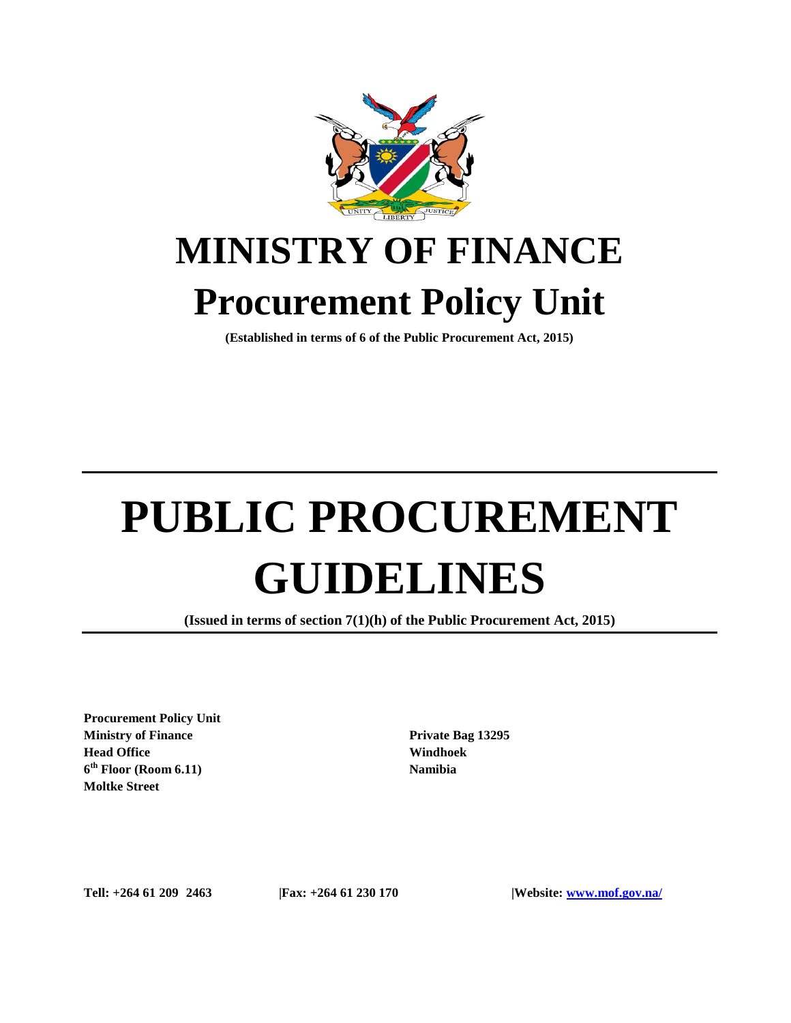

## **MINISTRY OF FINANCE Procurement Policy Unit**

**(Established in terms of 6 of the Public Procurement Act, 2015)**

# **PUBLIC PROCUREMENT GUIDELINES**

**(Issued in terms of section 7(1)(h) of the Public Procurement Act, 2015)**

**Procurement Policy Unit Ministry of Finance Head Office 6 th Floor (Room 6.11) Moltke Street**

**Private Bag 13295 Windhoek Namibia**

**Tell: +264 61 209 2463 |Fax: +264 61 230 170 |Website: www.mof.gov.na/**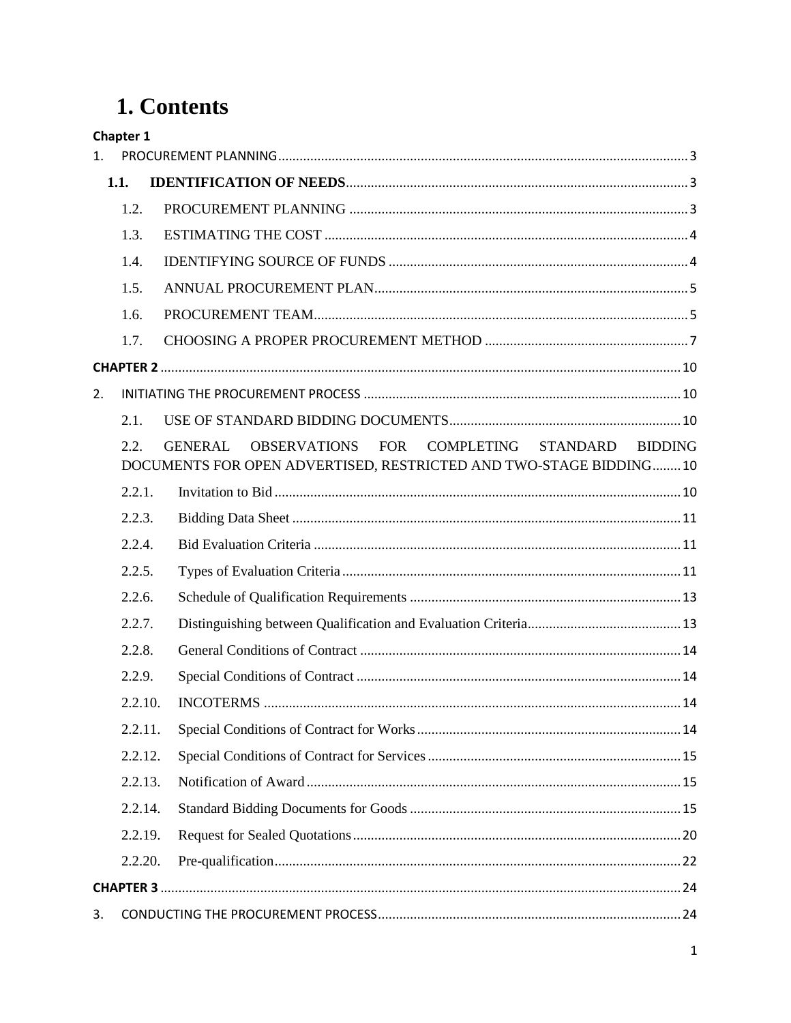## 1. Contents

|         | Chapter 1 |                                                                                                                                                |  |
|---------|-----------|------------------------------------------------------------------------------------------------------------------------------------------------|--|
| $1_{-}$ |           |                                                                                                                                                |  |
|         | 1.1.      |                                                                                                                                                |  |
|         | 1.2.      |                                                                                                                                                |  |
|         | 1.3.      |                                                                                                                                                |  |
|         | 1.4.      |                                                                                                                                                |  |
|         | 1.5.      |                                                                                                                                                |  |
|         | 1.6.      |                                                                                                                                                |  |
|         | 1.7.      |                                                                                                                                                |  |
|         |           |                                                                                                                                                |  |
| 2.      |           |                                                                                                                                                |  |
|         | 2.1.      |                                                                                                                                                |  |
|         | 2.2.      | OBSERVATIONS FOR COMPLETING STANDARD<br><b>GENERAL</b><br><b>BIDDING</b><br>DOCUMENTS FOR OPEN ADVERTISED, RESTRICTED AND TWO-STAGE BIDDING 10 |  |
|         | 2.2.1.    |                                                                                                                                                |  |
|         | 2.2.3.    |                                                                                                                                                |  |
|         | 2.2.4.    |                                                                                                                                                |  |
|         | 2.2.5.    |                                                                                                                                                |  |
|         | 2.2.6.    |                                                                                                                                                |  |
|         | 2.2.7.    |                                                                                                                                                |  |
|         | 2.2.8.    |                                                                                                                                                |  |
|         | 2.2.9.    |                                                                                                                                                |  |
|         | 2.2.10.   |                                                                                                                                                |  |
|         | 2.2.11.   |                                                                                                                                                |  |
|         | 2.2.12.   |                                                                                                                                                |  |
|         | 2.2.13.   |                                                                                                                                                |  |
|         | 2.2.14.   |                                                                                                                                                |  |
|         | 2.2.19.   |                                                                                                                                                |  |
|         | 2.2.20.   |                                                                                                                                                |  |
|         |           |                                                                                                                                                |  |
| 3.      |           |                                                                                                                                                |  |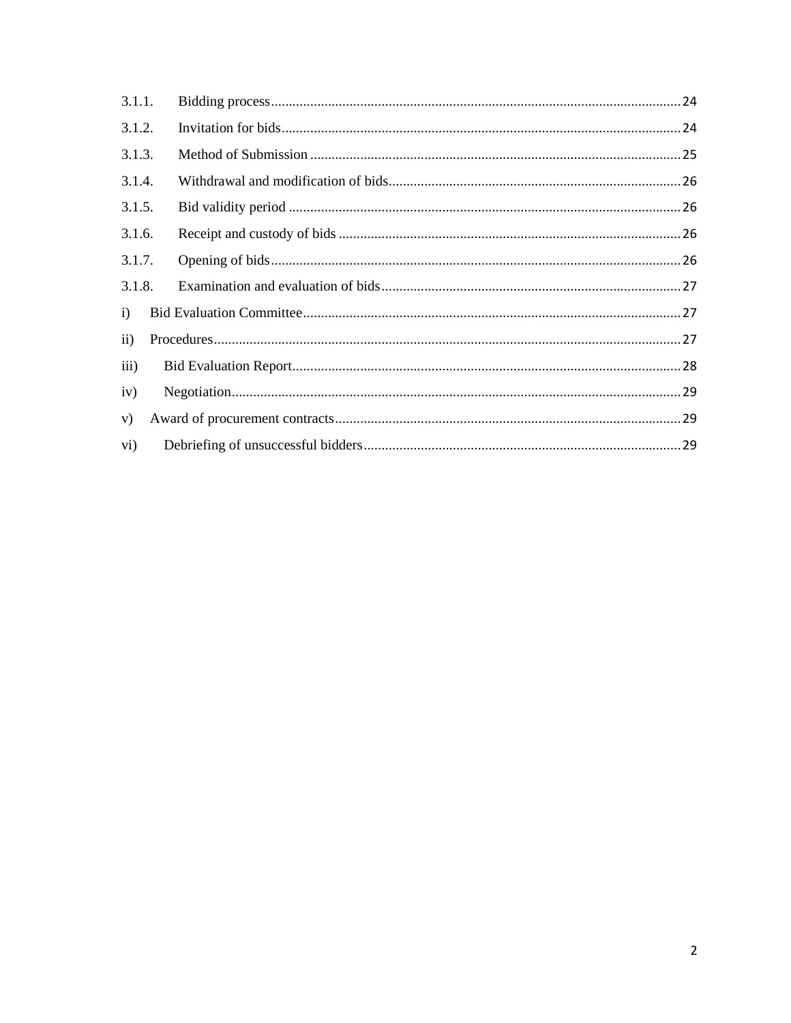<span id="page-2-0"></span>

| 3.1.1.            |  |  |  |  |
|-------------------|--|--|--|--|
| 3.1.2.            |  |  |  |  |
| 3.1.3.            |  |  |  |  |
| 3.1.4.            |  |  |  |  |
| 3.1.5.            |  |  |  |  |
| 3.1.6.            |  |  |  |  |
| 3.1.7.            |  |  |  |  |
| 3.1.8.            |  |  |  |  |
| i)                |  |  |  |  |
| $\mathbf{ii}$     |  |  |  |  |
| iii)              |  |  |  |  |
| iv)               |  |  |  |  |
| V)                |  |  |  |  |
| $\overline{vi}$ ) |  |  |  |  |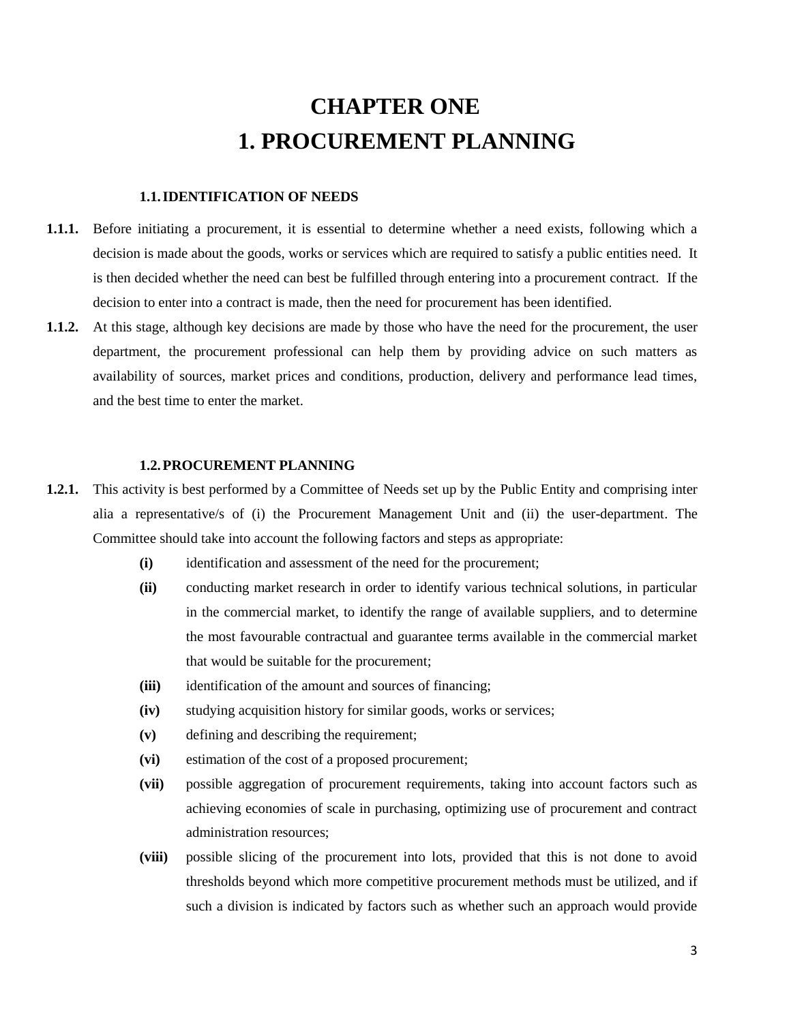## **CHAPTER ONE 1. PROCUREMENT PLANNING**

#### <span id="page-3-0"></span>**1.1.IDENTIFICATION OF NEEDS**

- **1.1.1.** Before initiating a procurement, it is essential to determine whether a need exists, following which a decision is made about the goods, works or services which are required to satisfy a public entities need. It is then decided whether the need can best be fulfilled through entering into a procurement contract. If the decision to enter into a contract is made, then the need for procurement has been identified.
- **1.1.2.** At this stage, although key decisions are made by those who have the need for the procurement, the user department, the procurement professional can help them by providing advice on such matters as availability of sources, market prices and conditions, production, delivery and performance lead times, and the best time to enter the market.

#### **1.2.PROCUREMENT PLANNING**

- <span id="page-3-1"></span>**1.2.1.** This activity is best performed by a Committee of Needs set up by the Public Entity and comprising inter alia a representative/s of (i) the Procurement Management Unit and (ii) the user-department. The Committee should take into account the following factors and steps as appropriate:
	- **(i)** identification and assessment of the need for the procurement;
	- **(ii)** conducting market research in order to identify various technical solutions, in particular in the commercial market, to identify the range of available suppliers, and to determine the most favourable contractual and guarantee terms available in the commercial market that would be suitable for the procurement;
	- **(iii)** identification of the amount and sources of financing;
	- **(iv)** studying acquisition history for similar goods, works or services;
	- **(v)** defining and describing the requirement;
	- **(vi)** estimation of the cost of a proposed procurement;
	- **(vii)** possible aggregation of procurement requirements, taking into account factors such as achieving economies of scale in purchasing, optimizing use of procurement and contract administration resources;
	- **(viii)** possible slicing of the procurement into lots, provided that this is not done to avoid thresholds beyond which more competitive procurement methods must be utilized, and if such a division is indicated by factors such as whether such an approach would provide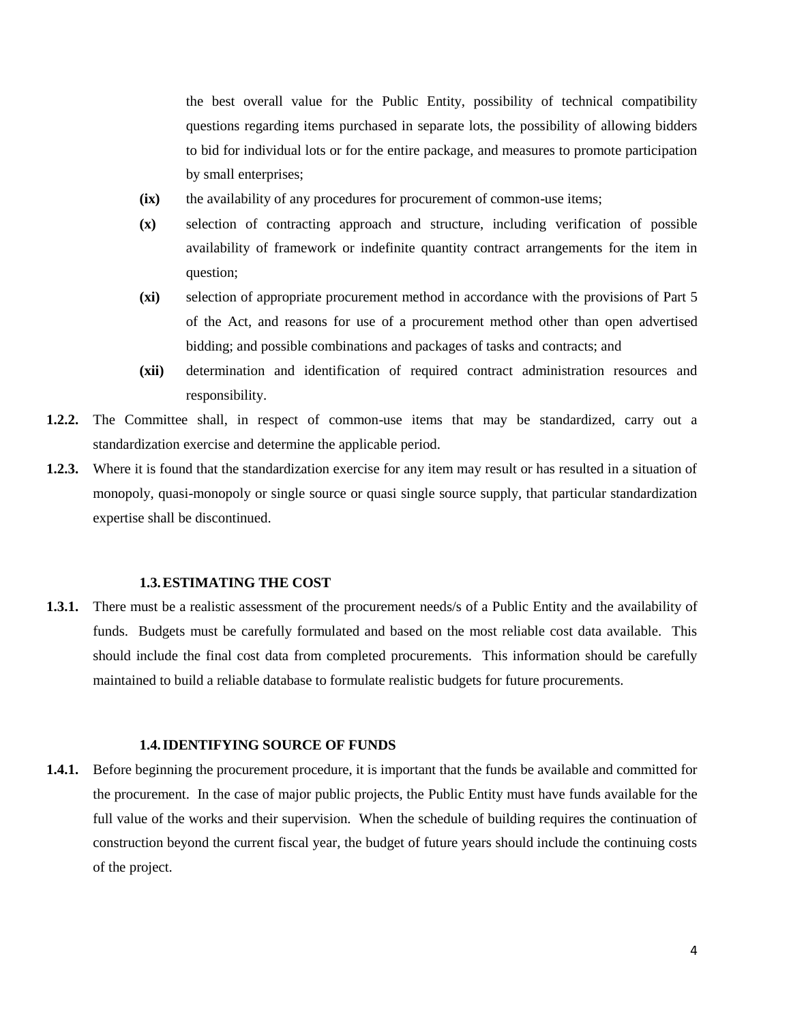the best overall value for the Public Entity, possibility of technical compatibility questions regarding items purchased in separate lots, the possibility of allowing bidders to bid for individual lots or for the entire package, and measures to promote participation by small enterprises;

- **(ix)** the availability of any procedures for procurement of common-use items;
- **(x)** selection of contracting approach and structure, including verification of possible availability of framework or indefinite quantity contract arrangements for the item in question;
- **(xi)** selection of appropriate procurement method in accordance with the provisions of Part 5 of the Act, and reasons for use of a procurement method other than open advertised bidding; and possible combinations and packages of tasks and contracts; and
- **(xii)** determination and identification of required contract administration resources and responsibility.
- **1.2.2.** The Committee shall, in respect of common-use items that may be standardized, carry out a standardization exercise and determine the applicable period.
- **1.2.3.** Where it is found that the standardization exercise for any item may result or has resulted in a situation of monopoly, quasi-monopoly or single source or quasi single source supply, that particular standardization expertise shall be discontinued.

#### **1.3.ESTIMATING THE COST**

<span id="page-4-0"></span>**1.3.1.** There must be a realistic assessment of the procurement needs/s of a Public Entity and the availability of funds. Budgets must be carefully formulated and based on the most reliable cost data available. This should include the final cost data from completed procurements. This information should be carefully maintained to build a reliable database to formulate realistic budgets for future procurements.

#### **1.4.IDENTIFYING SOURCE OF FUNDS**

<span id="page-4-1"></span>**1.4.1.** Before beginning the procurement procedure, it is important that the funds be available and committed for the procurement. In the case of major public projects, the Public Entity must have funds available for the full value of the works and their supervision. When the schedule of building requires the continuation of construction beyond the current fiscal year, the budget of future years should include the continuing costs of the project.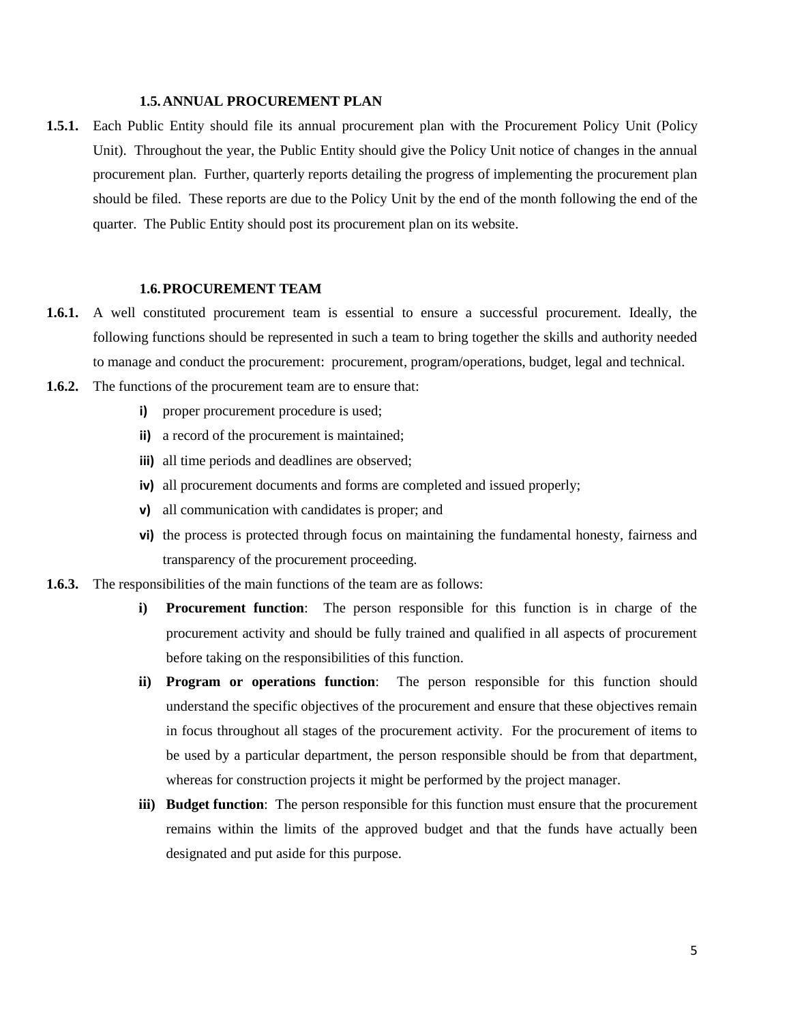#### **1.5.ANNUAL PROCUREMENT PLAN**

<span id="page-5-0"></span>**1.5.1.** Each Public Entity should file its annual procurement plan with the Procurement Policy Unit (Policy Unit). Throughout the year, the Public Entity should give the Policy Unit notice of changes in the annual procurement plan. Further, quarterly reports detailing the progress of implementing the procurement plan should be filed. These reports are due to the Policy Unit by the end of the month following the end of the quarter. The Public Entity should post its procurement plan on its website.

#### <span id="page-5-1"></span>**1.6.PROCUREMENT TEAM**

- **1.6.1.** A well constituted procurement team is essential to ensure a successful procurement. Ideally, the following functions should be represented in such a team to bring together the skills and authority needed to manage and conduct the procurement: procurement, program/operations, budget, legal and technical.
- **1.6.2.** The functions of the procurement team are to ensure that:
	- **i)** proper procurement procedure is used;
	- **ii)** a record of the procurement is maintained;
	- **iii)** all time periods and deadlines are observed;
	- **iv)** all procurement documents and forms are completed and issued properly;
	- **v)** all communication with candidates is proper; and
	- **vi)** the process is protected through focus on maintaining the fundamental honesty, fairness and transparency of the procurement proceeding.
- **1.6.3.** The responsibilities of the main functions of the team are as follows:
	- **i) Procurement function**: The person responsible for this function is in charge of the procurement activity and should be fully trained and qualified in all aspects of procurement before taking on the responsibilities of this function.
	- **ii) Program or operations function**: The person responsible for this function should understand the specific objectives of the procurement and ensure that these objectives remain in focus throughout all stages of the procurement activity. For the procurement of items to be used by a particular department, the person responsible should be from that department, whereas for construction projects it might be performed by the project manager.
	- **iii) Budget function**: The person responsible for this function must ensure that the procurement remains within the limits of the approved budget and that the funds have actually been designated and put aside for this purpose.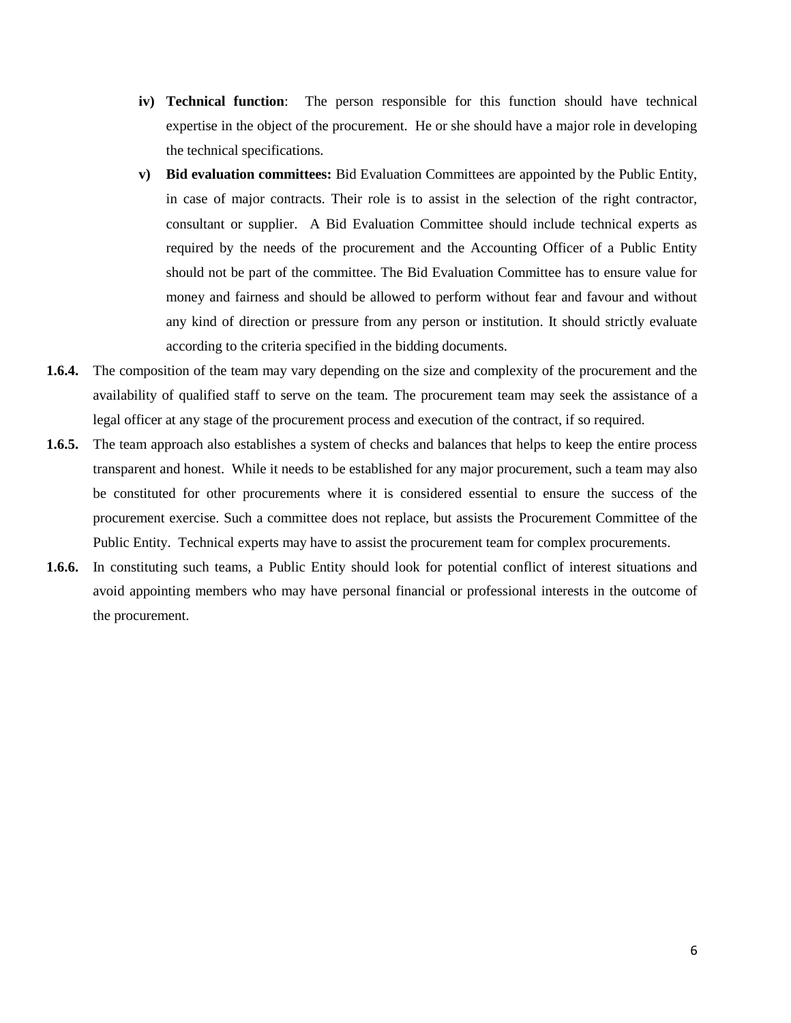- **iv) Technical function**: The person responsible for this function should have technical expertise in the object of the procurement. He or she should have a major role in developing the technical specifications.
- **v) Bid evaluation committees:** Bid Evaluation Committees are appointed by the Public Entity, in case of major contracts. Their role is to assist in the selection of the right contractor, consultant or supplier. A Bid Evaluation Committee should include technical experts as required by the needs of the procurement and the Accounting Officer of a Public Entity should not be part of the committee. The Bid Evaluation Committee has to ensure value for money and fairness and should be allowed to perform without fear and favour and without any kind of direction or pressure from any person or institution. It should strictly evaluate according to the criteria specified in the bidding documents.
- **1.6.4.** The composition of the team may vary depending on the size and complexity of the procurement and the availability of qualified staff to serve on the team. The procurement team may seek the assistance of a legal officer at any stage of the procurement process and execution of the contract, if so required.
- **1.6.5.** The team approach also establishes a system of checks and balances that helps to keep the entire process transparent and honest. While it needs to be established for any major procurement, such a team may also be constituted for other procurements where it is considered essential to ensure the success of the procurement exercise. Such a committee does not replace, but assists the Procurement Committee of the Public Entity. Technical experts may have to assist the procurement team for complex procurements.
- **1.6.6.** In constituting such teams, a Public Entity should look for potential conflict of interest situations and avoid appointing members who may have personal financial or professional interests in the outcome of the procurement.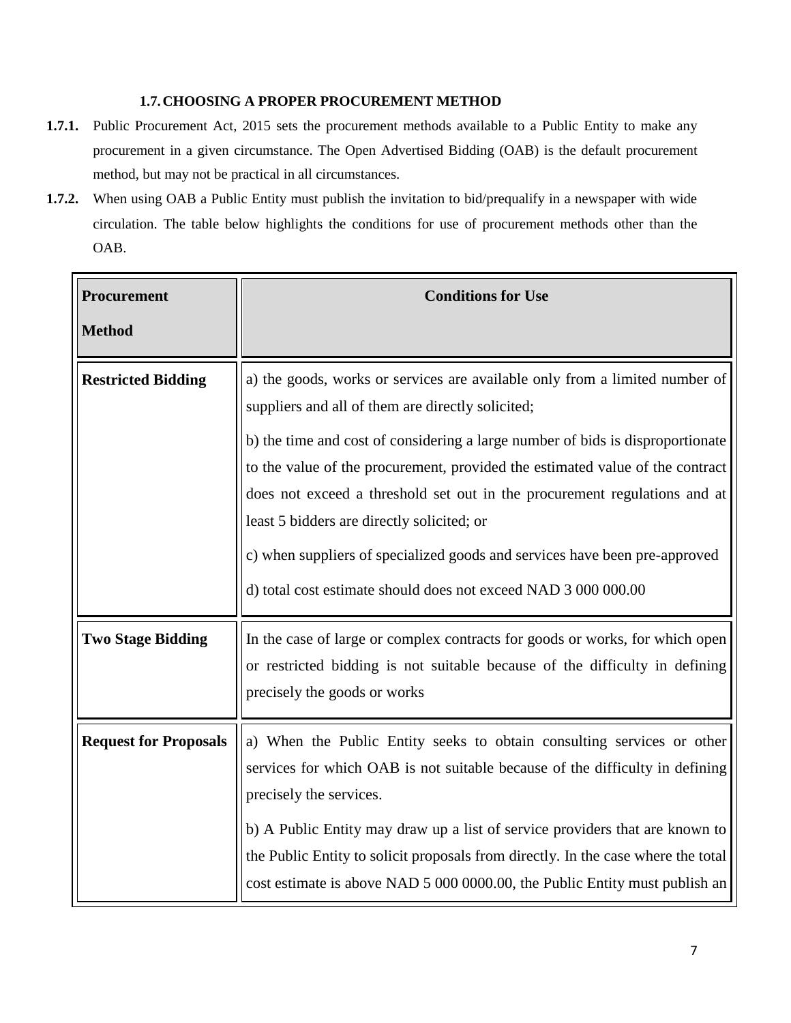#### <span id="page-7-0"></span>**1.7.CHOOSING A PROPER PROCUREMENT METHOD**

- **1.7.1.** Public Procurement Act, 2015 sets the procurement methods available to a Public Entity to make any procurement in a given circumstance. The Open Advertised Bidding (OAB) is the default procurement method, but may not be practical in all circumstances.
- **1.7.2.** When using OAB a Public Entity must publish the invitation to bid/prequalify in a newspaper with wide circulation. The table below highlights the conditions for use of procurement methods other than the OAB.

| Procurement                  | <b>Conditions for Use</b>                                                                                                                                                                                                                                                                                                                                                                                                             |
|------------------------------|---------------------------------------------------------------------------------------------------------------------------------------------------------------------------------------------------------------------------------------------------------------------------------------------------------------------------------------------------------------------------------------------------------------------------------------|
| <b>Method</b>                |                                                                                                                                                                                                                                                                                                                                                                                                                                       |
| <b>Restricted Bidding</b>    | a) the goods, works or services are available only from a limited number of<br>suppliers and all of them are directly solicited;<br>b) the time and cost of considering a large number of bids is disproportionate                                                                                                                                                                                                                    |
|                              | to the value of the procurement, provided the estimated value of the contract<br>does not exceed a threshold set out in the procurement regulations and at<br>least 5 bidders are directly solicited; or<br>c) when suppliers of specialized goods and services have been pre-approved<br>d) total cost estimate should does not exceed NAD 3 000 000.00                                                                              |
| <b>Two Stage Bidding</b>     | In the case of large or complex contracts for goods or works, for which open<br>or restricted bidding is not suitable because of the difficulty in defining<br>precisely the goods or works                                                                                                                                                                                                                                           |
| <b>Request for Proposals</b> | a) When the Public Entity seeks to obtain consulting services or other<br>services for which OAB is not suitable because of the difficulty in defining<br>precisely the services.<br>b) A Public Entity may draw up a list of service providers that are known to<br>the Public Entity to solicit proposals from directly. In the case where the total<br>cost estimate is above NAD 5 000 0000.00, the Public Entity must publish an |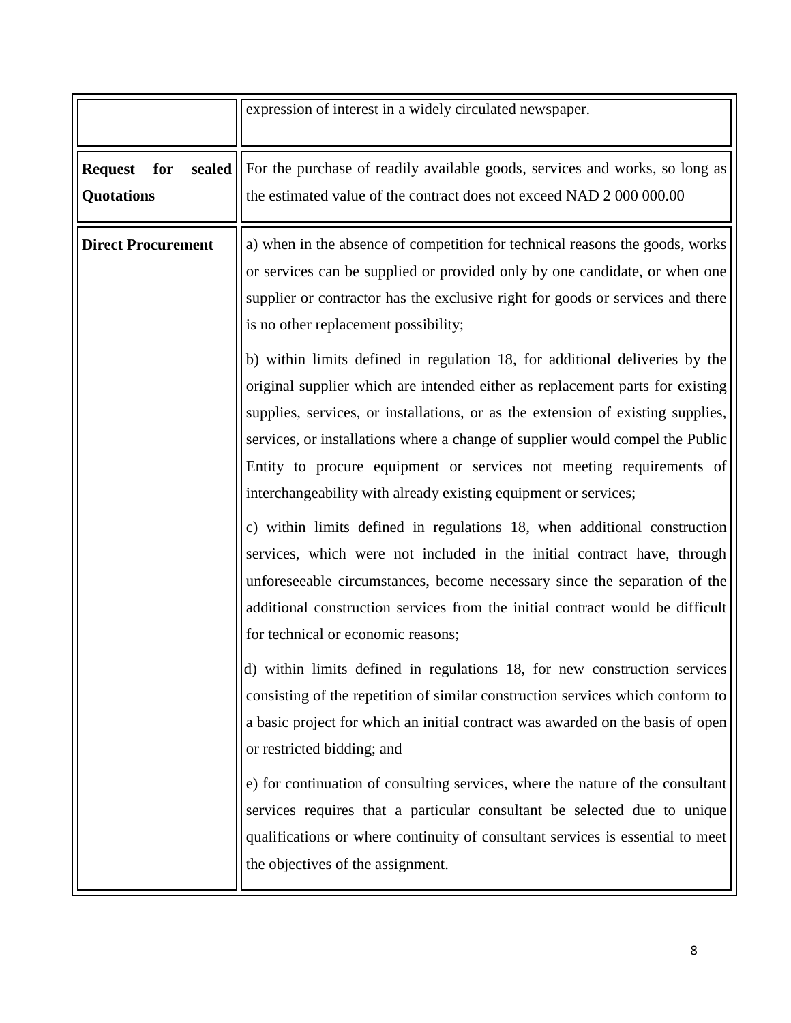|                                               | expression of interest in a widely circulated newspaper.                                                                                                                                                                                                                                                                                                                                    |
|-----------------------------------------------|---------------------------------------------------------------------------------------------------------------------------------------------------------------------------------------------------------------------------------------------------------------------------------------------------------------------------------------------------------------------------------------------|
| sealed<br><b>Request</b><br>for<br>Quotations | For the purchase of readily available goods, services and works, so long as<br>the estimated value of the contract does not exceed NAD 2 000 000.00                                                                                                                                                                                                                                         |
| <b>Direct Procurement</b>                     | a) when in the absence of competition for technical reasons the goods, works<br>or services can be supplied or provided only by one candidate, or when one<br>supplier or contractor has the exclusive right for goods or services and there<br>is no other replacement possibility;<br>b) within limits defined in regulation 18, for additional deliveries by the                         |
|                                               | original supplier which are intended either as replacement parts for existing<br>supplies, services, or installations, or as the extension of existing supplies,<br>services, or installations where a change of supplier would compel the Public<br>Entity to procure equipment or services not meeting requirements of<br>interchangeability with already existing equipment or services; |
|                                               | c) within limits defined in regulations 18, when additional construction<br>services, which were not included in the initial contract have, through<br>unforeseeable circumstances, become necessary since the separation of the<br>additional construction services from the initial contract would be difficult<br>for technical or economic reasons;                                     |
|                                               | d) within limits defined in regulations 18, for new construction services<br>consisting of the repetition of similar construction services which conform to<br>a basic project for which an initial contract was awarded on the basis of open<br>or restricted bidding; and                                                                                                                 |
|                                               | e) for continuation of consulting services, where the nature of the consultant<br>services requires that a particular consultant be selected due to unique<br>qualifications or where continuity of consultant services is essential to meet<br>the objectives of the assignment.                                                                                                           |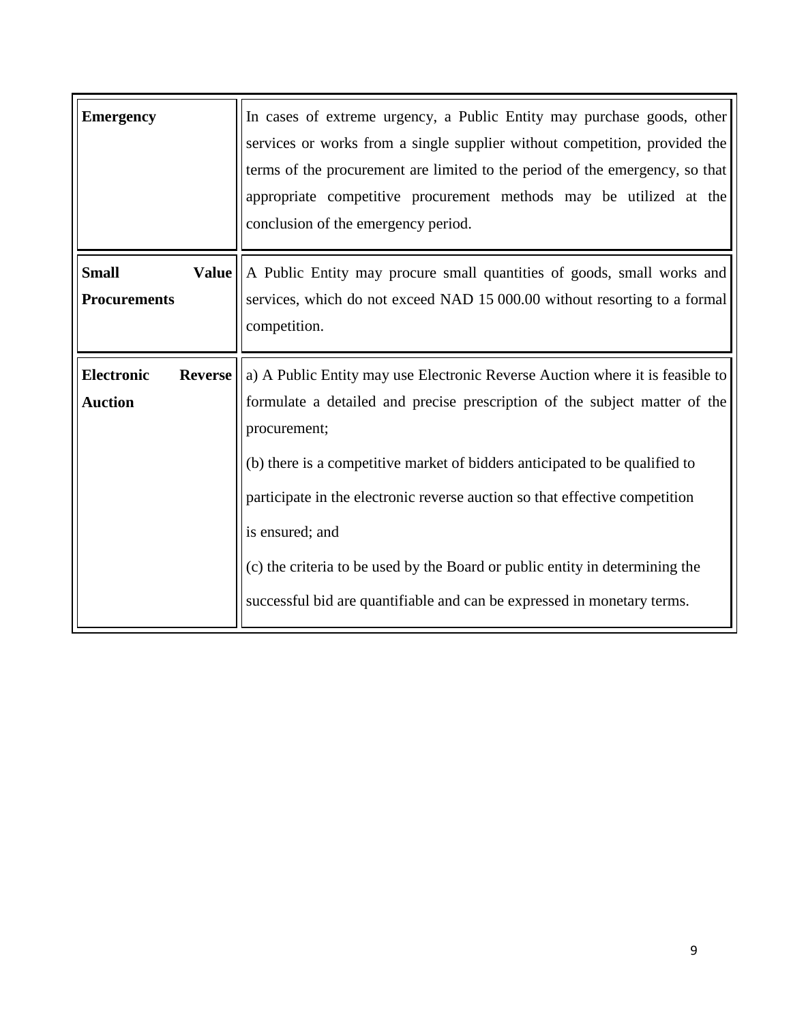| <b>Emergency</b>                                      | In cases of extreme urgency, a Public Entity may purchase goods, other<br>services or works from a single supplier without competition, provided the<br>terms of the procurement are limited to the period of the emergency, so that<br>appropriate competitive procurement methods may be utilized at the<br>conclusion of the emergency period.                                                                                                                                                                       |
|-------------------------------------------------------|-------------------------------------------------------------------------------------------------------------------------------------------------------------------------------------------------------------------------------------------------------------------------------------------------------------------------------------------------------------------------------------------------------------------------------------------------------------------------------------------------------------------------|
| <b>Small</b><br><b>Value</b><br><b>Procurements</b>   | A Public Entity may procure small quantities of goods, small works and<br>services, which do not exceed NAD 15 000.00 without resorting to a formal<br>competition.                                                                                                                                                                                                                                                                                                                                                     |
| <b>Electronic</b><br><b>Reverse</b><br><b>Auction</b> | a) A Public Entity may use Electronic Reverse Auction where it is feasible to<br>formulate a detailed and precise prescription of the subject matter of the<br>procurement;<br>(b) there is a competitive market of bidders anticipated to be qualified to<br>participate in the electronic reverse auction so that effective competition<br>is ensured; and<br>(c) the criteria to be used by the Board or public entity in determining the<br>successful bid are quantifiable and can be expressed in monetary terms. |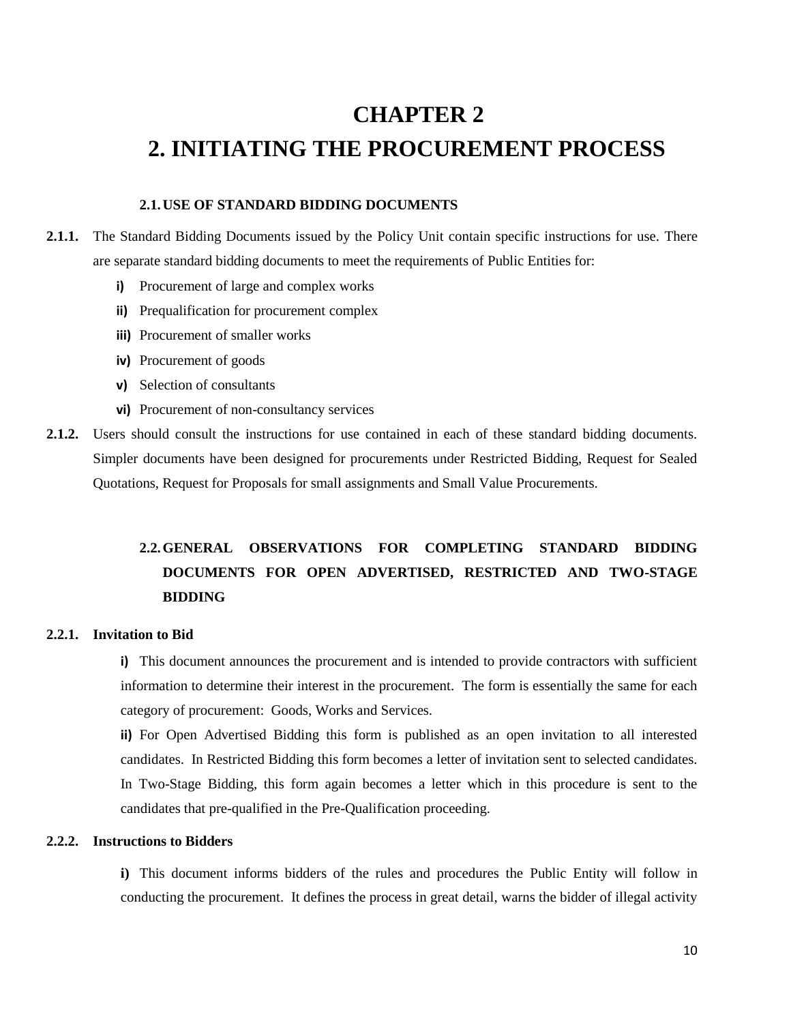## <span id="page-10-1"></span><span id="page-10-0"></span>**CHAPTER 2 2. INITIATING THE PROCUREMENT PROCESS**

#### <span id="page-10-2"></span>**2.1.USE OF STANDARD BIDDING DOCUMENTS**

- **2.1.1.** The Standard Bidding Documents issued by the Policy Unit contain specific instructions for use. There are separate standard bidding documents to meet the requirements of Public Entities for:
	- **i)** Procurement of large and complex works
	- **ii)** Prequalification for procurement complex
	- **iii)** Procurement of smaller works
	- **iv)** Procurement of goods
	- **v)** Selection of consultants
	- **vi)** Procurement of non-consultancy services
- **2.1.2.** Users should consult the instructions for use contained in each of these standard bidding documents. Simpler documents have been designed for procurements under Restricted Bidding, Request for Sealed Quotations, Request for Proposals for small assignments and Small Value Procurements.

#### <span id="page-10-3"></span>**2.2.GENERAL OBSERVATIONS FOR COMPLETING STANDARD BIDDING DOCUMENTS FOR OPEN ADVERTISED, RESTRICTED AND TWO-STAGE BIDDING**

#### <span id="page-10-4"></span>**2.2.1. Invitation to Bid**

**i)** This document announces the procurement and is intended to provide contractors with sufficient information to determine their interest in the procurement. The form is essentially the same for each category of procurement: Goods, Works and Services.

**ii)** For Open Advertised Bidding this form is published as an open invitation to all interested candidates. In Restricted Bidding this form becomes a letter of invitation sent to selected candidates. In Two-Stage Bidding, this form again becomes a letter which in this procedure is sent to the candidates that pre-qualified in the Pre-Qualification proceeding.

#### **2.2.2. Instructions to Bidders**

**i)** This document informs bidders of the rules and procedures the Public Entity will follow in conducting the procurement. It defines the process in great detail, warns the bidder of illegal activity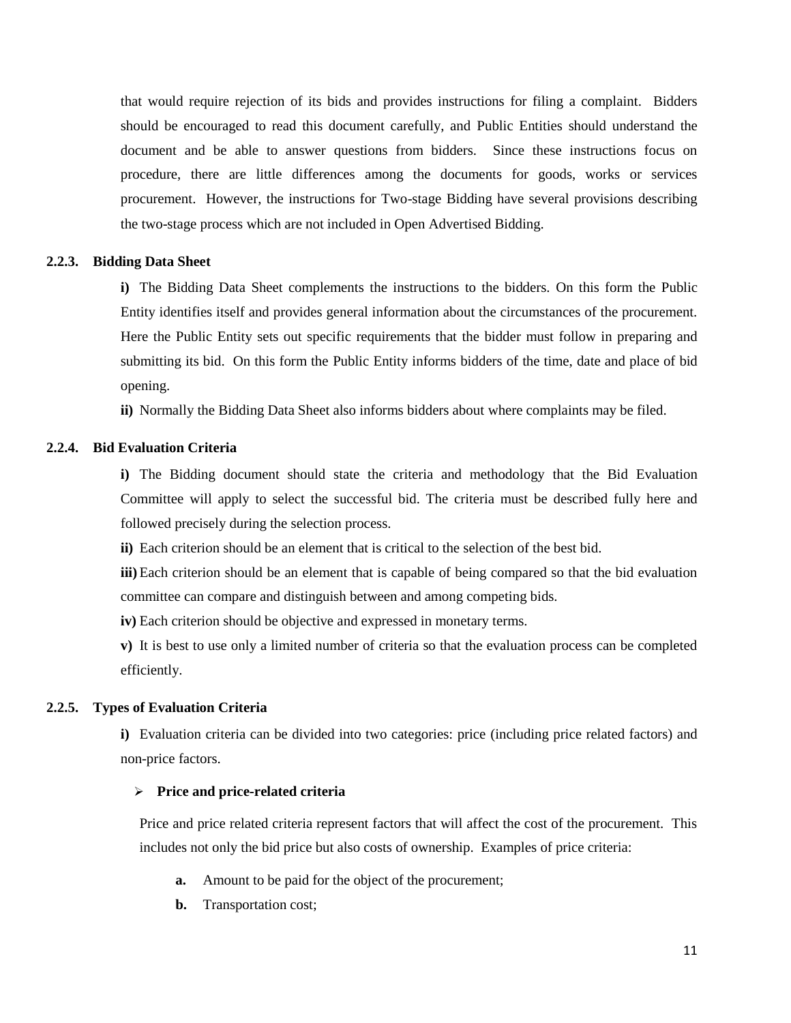that would require rejection of its bids and provides instructions for filing a complaint. Bidders should be encouraged to read this document carefully, and Public Entities should understand the document and be able to answer questions from bidders. Since these instructions focus on procedure, there are little differences among the documents for goods, works or services procurement. However, the instructions for Two-stage Bidding have several provisions describing the two-stage process which are not included in Open Advertised Bidding.

#### **2.2.3. Bidding Data Sheet**

<span id="page-11-0"></span>**i)** The Bidding Data Sheet complements the instructions to the bidders. On this form the Public Entity identifies itself and provides general information about the circumstances of the procurement. Here the Public Entity sets out specific requirements that the bidder must follow in preparing and submitting its bid. On this form the Public Entity informs bidders of the time, date and place of bid opening.

**ii)** Normally the Bidding Data Sheet also informs bidders about where complaints may be filed.

#### <span id="page-11-1"></span>**2.2.4. Bid Evaluation Criteria**

**i)** The Bidding document should state the criteria and methodology that the Bid Evaluation Committee will apply to select the successful bid. The criteria must be described fully here and followed precisely during the selection process.

**ii)** Each criterion should be an element that is critical to the selection of the best bid.

**iii)** Each criterion should be an element that is capable of being compared so that the bid evaluation committee can compare and distinguish between and among competing bids.

**iv)** Each criterion should be objective and expressed in monetary terms.

**v)** It is best to use only a limited number of criteria so that the evaluation process can be completed efficiently.

#### <span id="page-11-2"></span>**2.2.5. Types of Evaluation Criteria**

**i)** Evaluation criteria can be divided into two categories: price (including price related factors) and non-price factors.

#### **Price and price-related criteria**

Price and price related criteria represent factors that will affect the cost of the procurement. This includes not only the bid price but also costs of ownership. Examples of price criteria:

- **a.** Amount to be paid for the object of the procurement;
- **b.** Transportation cost;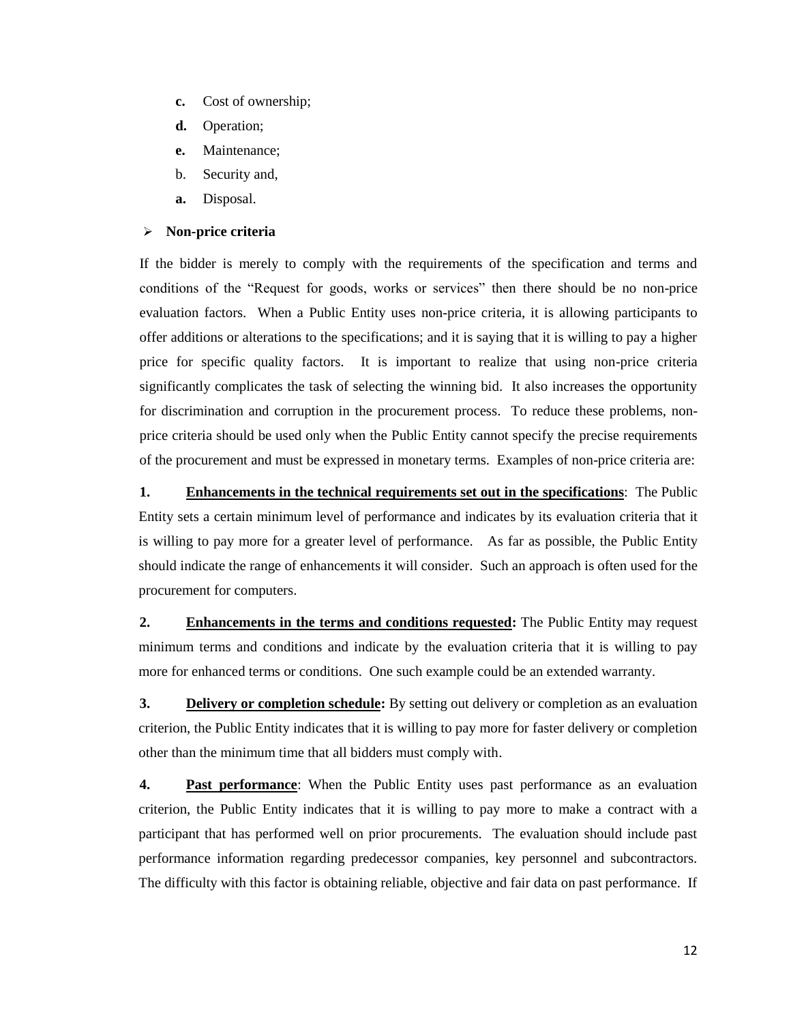- **c.** Cost of ownership;
- **d.** Operation;
- **e.** Maintenance;
- b. Security and,
- **a.** Disposal.

#### **Non-price criteria**

If the bidder is merely to comply with the requirements of the specification and terms and conditions of the "Request for goods, works or services" then there should be no non-price evaluation factors. When a Public Entity uses non-price criteria, it is allowing participants to offer additions or alterations to the specifications; and it is saying that it is willing to pay a higher price for specific quality factors. It is important to realize that using non-price criteria significantly complicates the task of selecting the winning bid. It also increases the opportunity for discrimination and corruption in the procurement process. To reduce these problems, nonprice criteria should be used only when the Public Entity cannot specify the precise requirements of the procurement and must be expressed in monetary terms. Examples of non-price criteria are:

**1. Enhancements in the technical requirements set out in the specifications**: The Public Entity sets a certain minimum level of performance and indicates by its evaluation criteria that it is willing to pay more for a greater level of performance. As far as possible, the Public Entity should indicate the range of enhancements it will consider. Such an approach is often used for the procurement for computers.

**2. Enhancements in the terms and conditions requested:** The Public Entity may request minimum terms and conditions and indicate by the evaluation criteria that it is willing to pay more for enhanced terms or conditions. One such example could be an extended warranty.

**3. Delivery or completion schedule:** By setting out delivery or completion as an evaluation criterion, the Public Entity indicates that it is willing to pay more for faster delivery or completion other than the minimum time that all bidders must comply with.

**4. Past performance**: When the Public Entity uses past performance as an evaluation criterion, the Public Entity indicates that it is willing to pay more to make a contract with a participant that has performed well on prior procurements. The evaluation should include past performance information regarding predecessor companies, key personnel and subcontractors. The difficulty with this factor is obtaining reliable, objective and fair data on past performance. If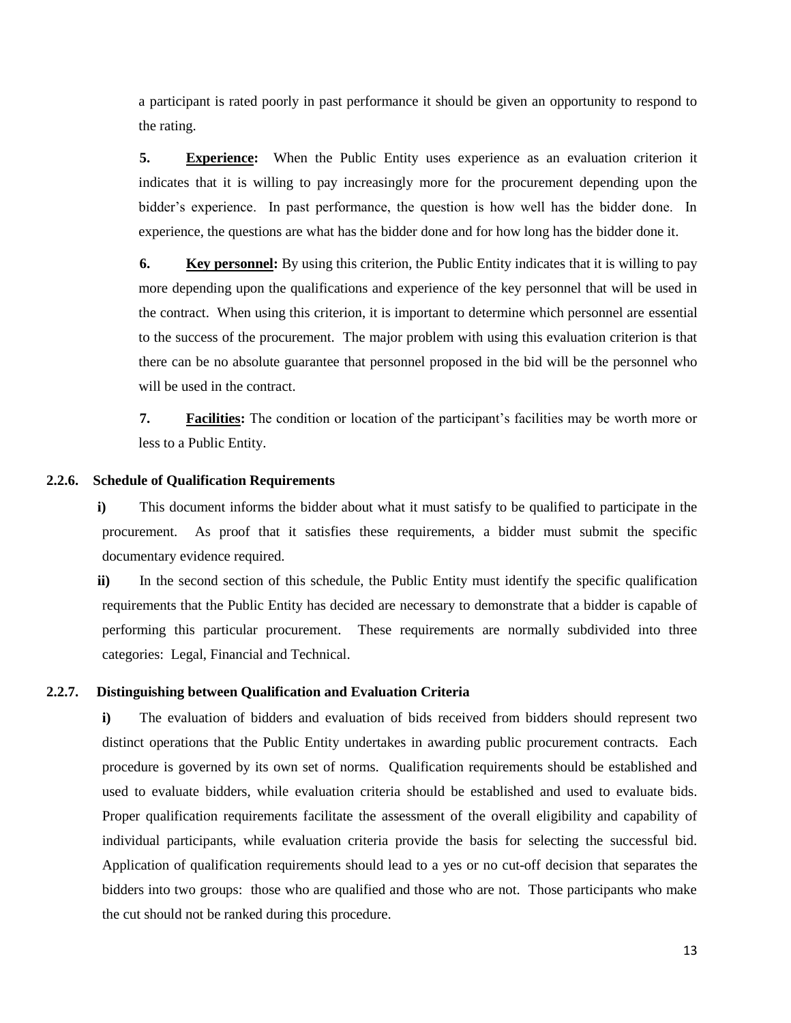a participant is rated poorly in past performance it should be given an opportunity to respond to the rating.

**5. Experience:** When the Public Entity uses experience as an evaluation criterion it indicates that it is willing to pay increasingly more for the procurement depending upon the bidder's experience. In past performance, the question is how well has the bidder done. In experience, the questions are what has the bidder done and for how long has the bidder done it.

**6. Key personnel:** By using this criterion, the Public Entity indicates that it is willing to pay more depending upon the qualifications and experience of the key personnel that will be used in the contract. When using this criterion, it is important to determine which personnel are essential to the success of the procurement. The major problem with using this evaluation criterion is that there can be no absolute guarantee that personnel proposed in the bid will be the personnel who will be used in the contract.

**7. Facilities:** The condition or location of the participant's facilities may be worth more or less to a Public Entity.

#### **2.2.6. Schedule of Qualification Requirements**

<span id="page-13-0"></span>**i)** This document informs the bidder about what it must satisfy to be qualified to participate in the procurement. As proof that it satisfies these requirements, a bidder must submit the specific documentary evidence required.

**ii)** In the second section of this schedule, the Public Entity must identify the specific qualification requirements that the Public Entity has decided are necessary to demonstrate that a bidder is capable of performing this particular procurement. These requirements are normally subdivided into three categories: Legal, Financial and Technical.

#### **2.2.7. Distinguishing between Qualification and Evaluation Criteria**

<span id="page-13-1"></span>**i)** The evaluation of bidders and evaluation of bids received from bidders should represent two distinct operations that the Public Entity undertakes in awarding public procurement contracts. Each procedure is governed by its own set of norms. Qualification requirements should be established and used to evaluate bidders, while evaluation criteria should be established and used to evaluate bids. Proper qualification requirements facilitate the assessment of the overall eligibility and capability of individual participants, while evaluation criteria provide the basis for selecting the successful bid. Application of qualification requirements should lead to a yes or no cut-off decision that separates the bidders into two groups: those who are qualified and those who are not. Those participants who make the cut should not be ranked during this procedure.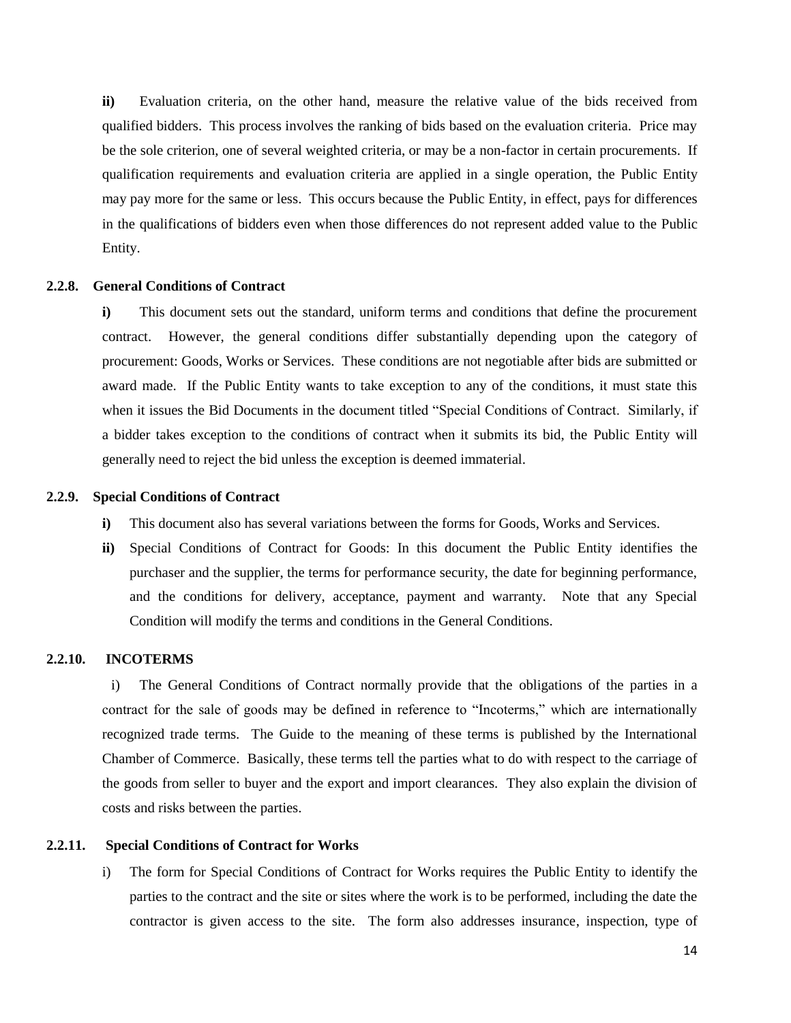**ii)** Evaluation criteria, on the other hand, measure the relative value of the bids received from qualified bidders. This process involves the ranking of bids based on the evaluation criteria. Price may be the sole criterion, one of several weighted criteria, or may be a non-factor in certain procurements. If qualification requirements and evaluation criteria are applied in a single operation, the Public Entity may pay more for the same or less. This occurs because the Public Entity, in effect, pays for differences in the qualifications of bidders even when those differences do not represent added value to the Public Entity.

#### **2.2.8. General Conditions of Contract**

<span id="page-14-0"></span>**i)** This document sets out the standard, uniform terms and conditions that define the procurement contract. However, the general conditions differ substantially depending upon the category of procurement: Goods, Works or Services. These conditions are not negotiable after bids are submitted or award made. If the Public Entity wants to take exception to any of the conditions, it must state this when it issues the Bid Documents in the document titled "Special Conditions of Contract. Similarly, if a bidder takes exception to the conditions of contract when it submits its bid, the Public Entity will generally need to reject the bid unless the exception is deemed immaterial.

#### **2.2.9. Special Conditions of Contract**

- <span id="page-14-1"></span>**i)** This document also has several variations between the forms for Goods, Works and Services.
- **ii)** Special Conditions of Contract for Goods: In this document the Public Entity identifies the purchaser and the supplier, the terms for performance security, the date for beginning performance, and the conditions for delivery, acceptance, payment and warranty. Note that any Special Condition will modify the terms and conditions in the General Conditions.

#### **2.2.10. INCOTERMS**

<span id="page-14-2"></span>i) The General Conditions of Contract normally provide that the obligations of the parties in a contract for the sale of goods may be defined in reference to "Incoterms," which are internationally recognized trade terms. The Guide to the meaning of these terms is published by the International Chamber of Commerce. Basically, these terms tell the parties what to do with respect to the carriage of the goods from seller to buyer and the export and import clearances. They also explain the division of costs and risks between the parties.

#### **2.2.11. Special Conditions of Contract for Works**

<span id="page-14-3"></span>i) The form for Special Conditions of Contract for Works requires the Public Entity to identify the parties to the contract and the site or sites where the work is to be performed, including the date the contractor is given access to the site. The form also addresses insurance, inspection, type of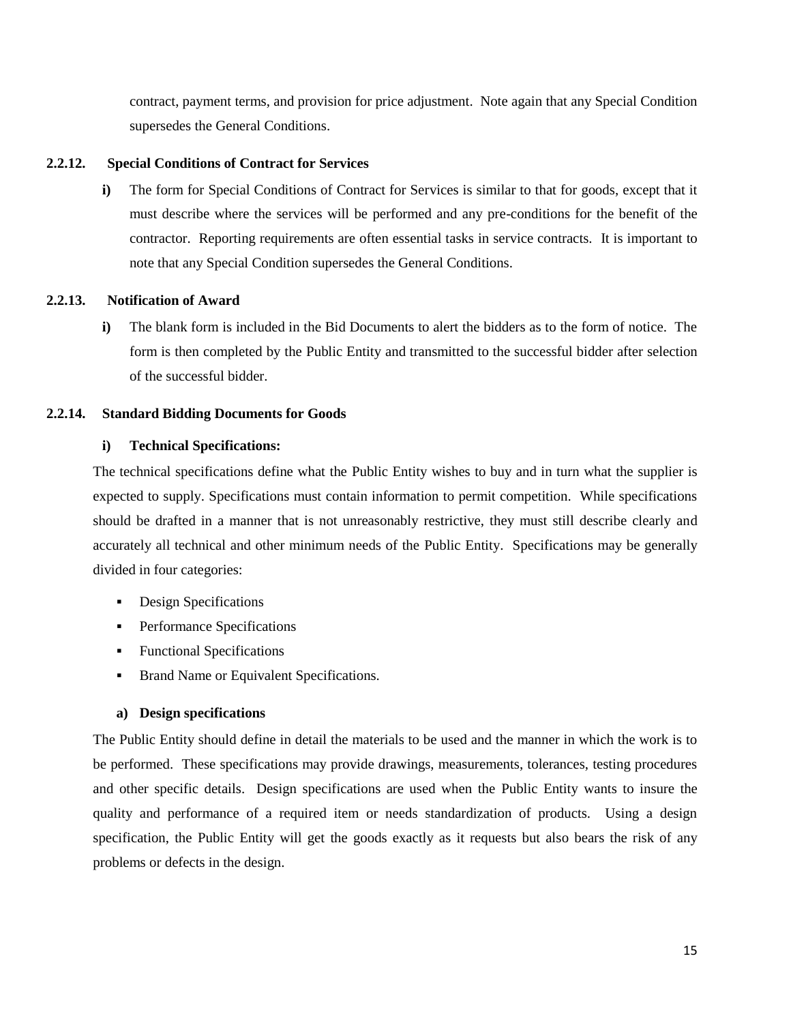contract, payment terms, and provision for price adjustment. Note again that any Special Condition supersedes the General Conditions.

#### **2.2.12. Special Conditions of Contract for Services**

<span id="page-15-0"></span>**i)** The form for Special Conditions of Contract for Services is similar to that for goods, except that it must describe where the services will be performed and any pre-conditions for the benefit of the contractor. Reporting requirements are often essential tasks in service contracts. It is important to note that any Special Condition supersedes the General Conditions.

#### **2.2.13. Notification of Award**

<span id="page-15-1"></span>**i)** The blank form is included in the Bid Documents to alert the bidders as to the form of notice. The form is then completed by the Public Entity and transmitted to the successful bidder after selection of the successful bidder.

#### **2.2.14. Standard Bidding Documents for Goods**

#### <span id="page-15-2"></span>**i) Technical Specifications:**

The technical specifications define what the Public Entity wishes to buy and in turn what the supplier is expected to supply. Specifications must contain information to permit competition. While specifications should be drafted in a manner that is not unreasonably restrictive, they must still describe clearly and accurately all technical and other minimum needs of the Public Entity. Specifications may be generally divided in four categories:

- **Design Specifications**
- **Performance Specifications**
- Functional Specifications
- **Brand Name or Equivalent Specifications.**

#### **a) Design specifications**

The Public Entity should define in detail the materials to be used and the manner in which the work is to be performed. These specifications may provide drawings, measurements, tolerances, testing procedures and other specific details. Design specifications are used when the Public Entity wants to insure the quality and performance of a required item or needs standardization of products. Using a design specification, the Public Entity will get the goods exactly as it requests but also bears the risk of any problems or defects in the design.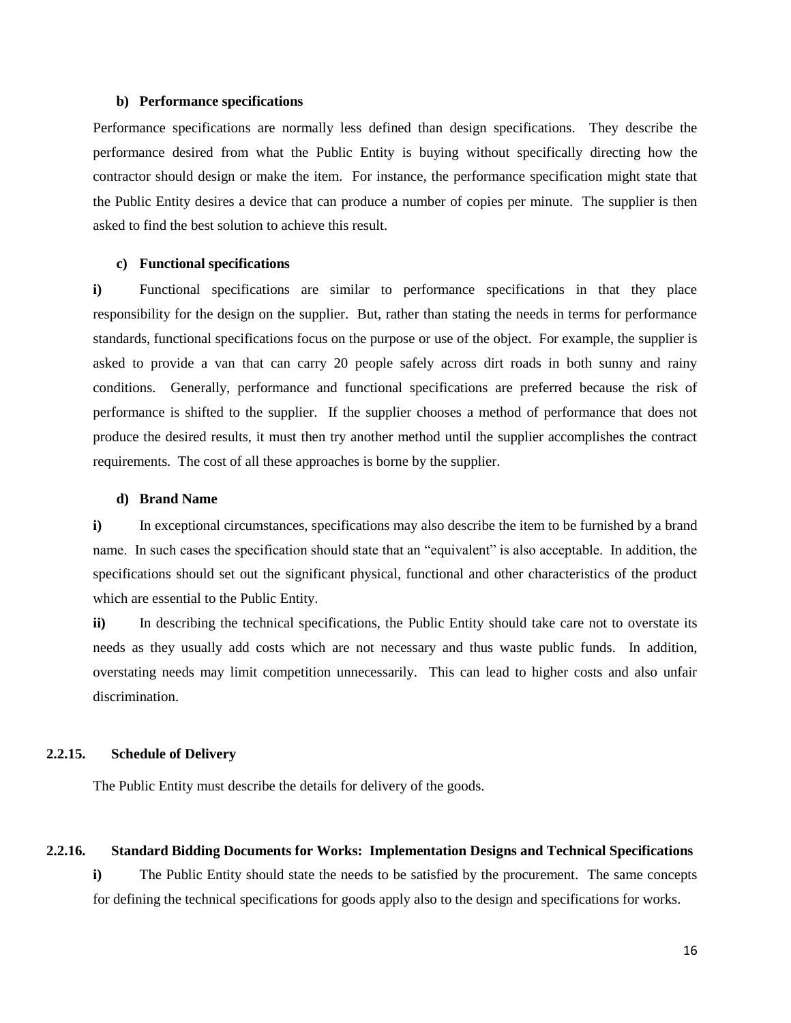#### **b) Performance specifications**

Performance specifications are normally less defined than design specifications. They describe the performance desired from what the Public Entity is buying without specifically directing how the contractor should design or make the item. For instance, the performance specification might state that the Public Entity desires a device that can produce a number of copies per minute. The supplier is then asked to find the best solution to achieve this result.

#### **c) Functional specifications**

**i)** Functional specifications are similar to performance specifications in that they place responsibility for the design on the supplier. But, rather than stating the needs in terms for performance standards, functional specifications focus on the purpose or use of the object. For example, the supplier is asked to provide a van that can carry 20 people safely across dirt roads in both sunny and rainy conditions. Generally, performance and functional specifications are preferred because the risk of performance is shifted to the supplier. If the supplier chooses a method of performance that does not produce the desired results, it must then try another method until the supplier accomplishes the contract requirements. The cost of all these approaches is borne by the supplier.

#### **d) Brand Name**

**i)** In exceptional circumstances, specifications may also describe the item to be furnished by a brand name. In such cases the specification should state that an "equivalent" is also acceptable. In addition, the specifications should set out the significant physical, functional and other characteristics of the product which are essential to the Public Entity.

**ii)** In describing the technical specifications, the Public Entity should take care not to overstate its needs as they usually add costs which are not necessary and thus waste public funds. In addition, overstating needs may limit competition unnecessarily. This can lead to higher costs and also unfair discrimination.

#### **2.2.15. Schedule of Delivery**

The Public Entity must describe the details for delivery of the goods.

#### **2.2.16. Standard Bidding Documents for Works: Implementation Designs and Technical Specifications**

**i)** The Public Entity should state the needs to be satisfied by the procurement. The same concepts for defining the technical specifications for goods apply also to the design and specifications for works.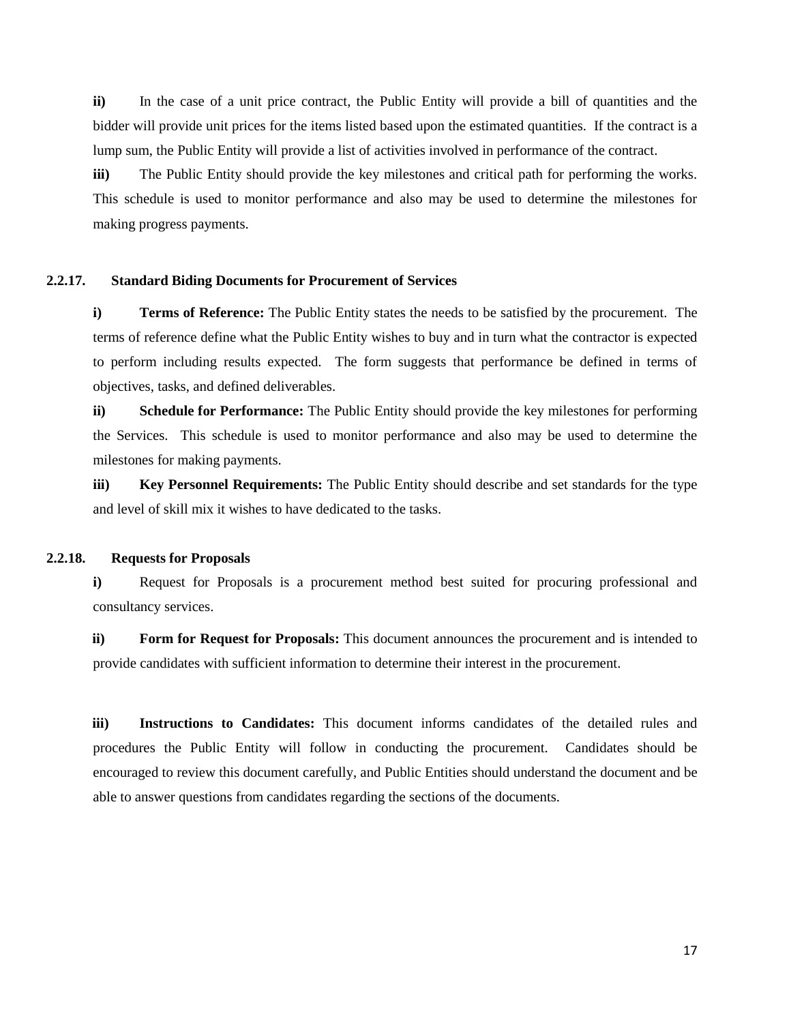**ii)** In the case of a unit price contract, the Public Entity will provide a bill of quantities and the bidder will provide unit prices for the items listed based upon the estimated quantities. If the contract is a lump sum, the Public Entity will provide a list of activities involved in performance of the contract.

**iii)** The Public Entity should provide the key milestones and critical path for performing the works. This schedule is used to monitor performance and also may be used to determine the milestones for making progress payments.

#### **2.2.17. Standard Biding Documents for Procurement of Services**

**i) Terms of Reference:** The Public Entity states the needs to be satisfied by the procurement. The terms of reference define what the Public Entity wishes to buy and in turn what the contractor is expected to perform including results expected. The form suggests that performance be defined in terms of objectives, tasks, and defined deliverables.

**ii) Schedule for Performance:** The Public Entity should provide the key milestones for performing the Services. This schedule is used to monitor performance and also may be used to determine the milestones for making payments.

**iii) Key Personnel Requirements:** The Public Entity should describe and set standards for the type and level of skill mix it wishes to have dedicated to the tasks.

#### **2.2.18. Requests for Proposals**

**i)** Request for Proposals is a procurement method best suited for procuring professional and consultancy services.

**ii) Form for Request for Proposals:** This document announces the procurement and is intended to provide candidates with sufficient information to determine their interest in the procurement.

**iii) Instructions to Candidates:** This document informs candidates of the detailed rules and procedures the Public Entity will follow in conducting the procurement. Candidates should be encouraged to review this document carefully, and Public Entities should understand the document and be able to answer questions from candidates regarding the sections of the documents.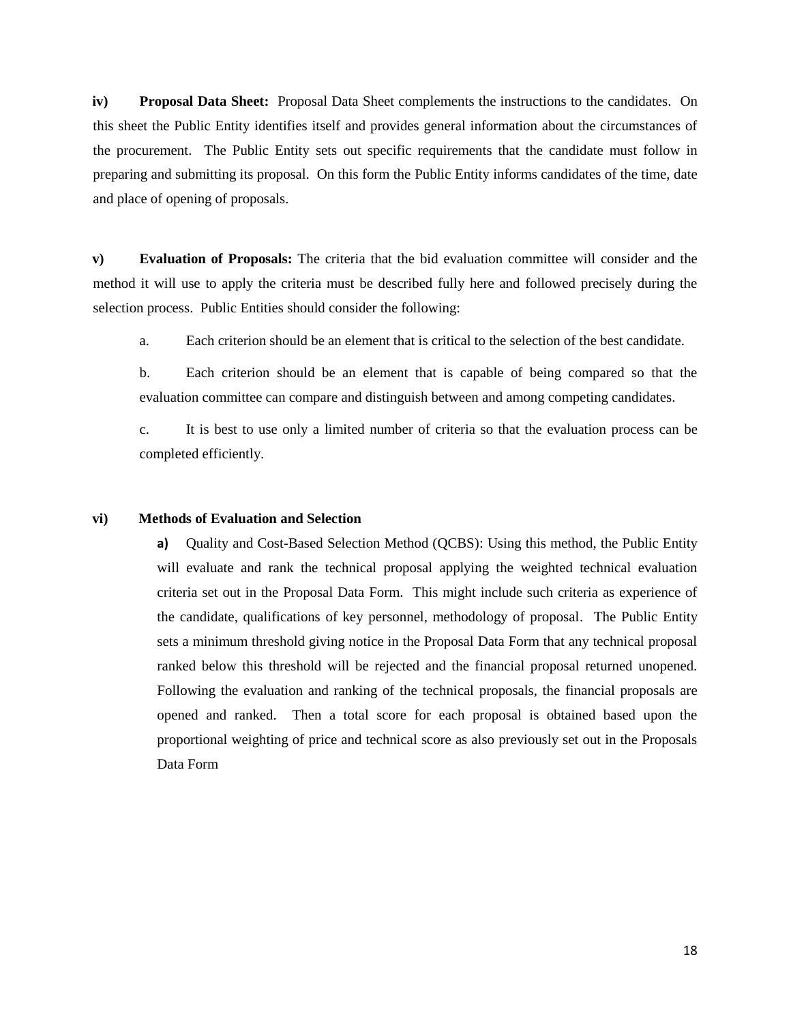**iv) Proposal Data Sheet:** Proposal Data Sheet complements the instructions to the candidates. On this sheet the Public Entity identifies itself and provides general information about the circumstances of the procurement. The Public Entity sets out specific requirements that the candidate must follow in preparing and submitting its proposal. On this form the Public Entity informs candidates of the time, date and place of opening of proposals.

**v) Evaluation of Proposals:** The criteria that the bid evaluation committee will consider and the method it will use to apply the criteria must be described fully here and followed precisely during the selection process. Public Entities should consider the following:

a. Each criterion should be an element that is critical to the selection of the best candidate.

b. Each criterion should be an element that is capable of being compared so that the evaluation committee can compare and distinguish between and among competing candidates.

c. It is best to use only a limited number of criteria so that the evaluation process can be completed efficiently.

#### **vi) Methods of Evaluation and Selection**

**a)** Quality and Cost-Based Selection Method (QCBS): Using this method, the Public Entity will evaluate and rank the technical proposal applying the weighted technical evaluation criteria set out in the Proposal Data Form. This might include such criteria as experience of the candidate, qualifications of key personnel, methodology of proposal. The Public Entity sets a minimum threshold giving notice in the Proposal Data Form that any technical proposal ranked below this threshold will be rejected and the financial proposal returned unopened. Following the evaluation and ranking of the technical proposals, the financial proposals are opened and ranked. Then a total score for each proposal is obtained based upon the proportional weighting of price and technical score as also previously set out in the Proposals Data Form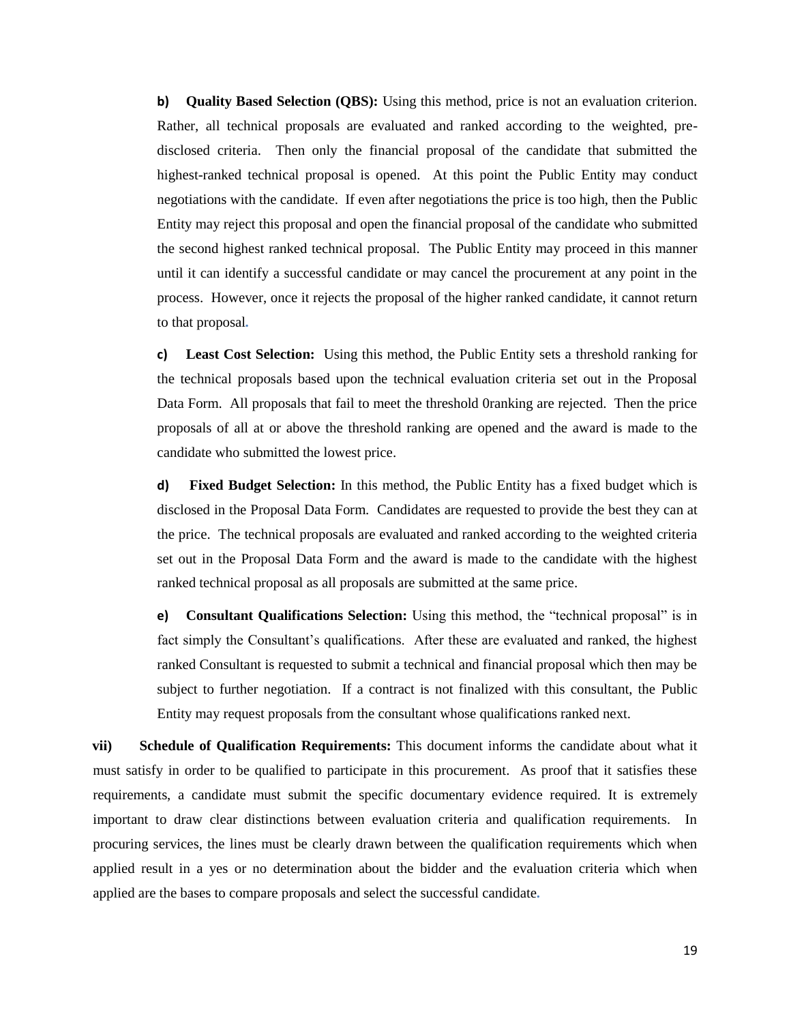**b) Quality Based Selection (QBS):** Using this method, price is not an evaluation criterion. Rather, all technical proposals are evaluated and ranked according to the weighted, predisclosed criteria. Then only the financial proposal of the candidate that submitted the highest-ranked technical proposal is opened. At this point the Public Entity may conduct negotiations with the candidate. If even after negotiations the price is too high, then the Public Entity may reject this proposal and open the financial proposal of the candidate who submitted the second highest ranked technical proposal. The Public Entity may proceed in this manner until it can identify a successful candidate or may cancel the procurement at any point in the process. However, once it rejects the proposal of the higher ranked candidate, it cannot return to that proposal*.* 

**c) Least Cost Selection:** Using this method, the Public Entity sets a threshold ranking for the technical proposals based upon the technical evaluation criteria set out in the Proposal Data Form. All proposals that fail to meet the threshold 0ranking are rejected. Then the price proposals of all at or above the threshold ranking are opened and the award is made to the candidate who submitted the lowest price.

**d) Fixed Budget Selection:** In this method, the Public Entity has a fixed budget which is disclosed in the Proposal Data Form. Candidates are requested to provide the best they can at the price. The technical proposals are evaluated and ranked according to the weighted criteria set out in the Proposal Data Form and the award is made to the candidate with the highest ranked technical proposal as all proposals are submitted at the same price.

**e) Consultant Qualifications Selection:** Using this method, the "technical proposal" is in fact simply the Consultant's qualifications. After these are evaluated and ranked, the highest ranked Consultant is requested to submit a technical and financial proposal which then may be subject to further negotiation. If a contract is not finalized with this consultant, the Public Entity may request proposals from the consultant whose qualifications ranked next.

**vii) Schedule of Qualification Requirements:** This document informs the candidate about what it must satisfy in order to be qualified to participate in this procurement. As proof that it satisfies these requirements, a candidate must submit the specific documentary evidence required. It is extremely important to draw clear distinctions between evaluation criteria and qualification requirements. In procuring services, the lines must be clearly drawn between the qualification requirements which when applied result in a yes or no determination about the bidder and the evaluation criteria which when applied are the bases to compare proposals and select the successful candidate*.*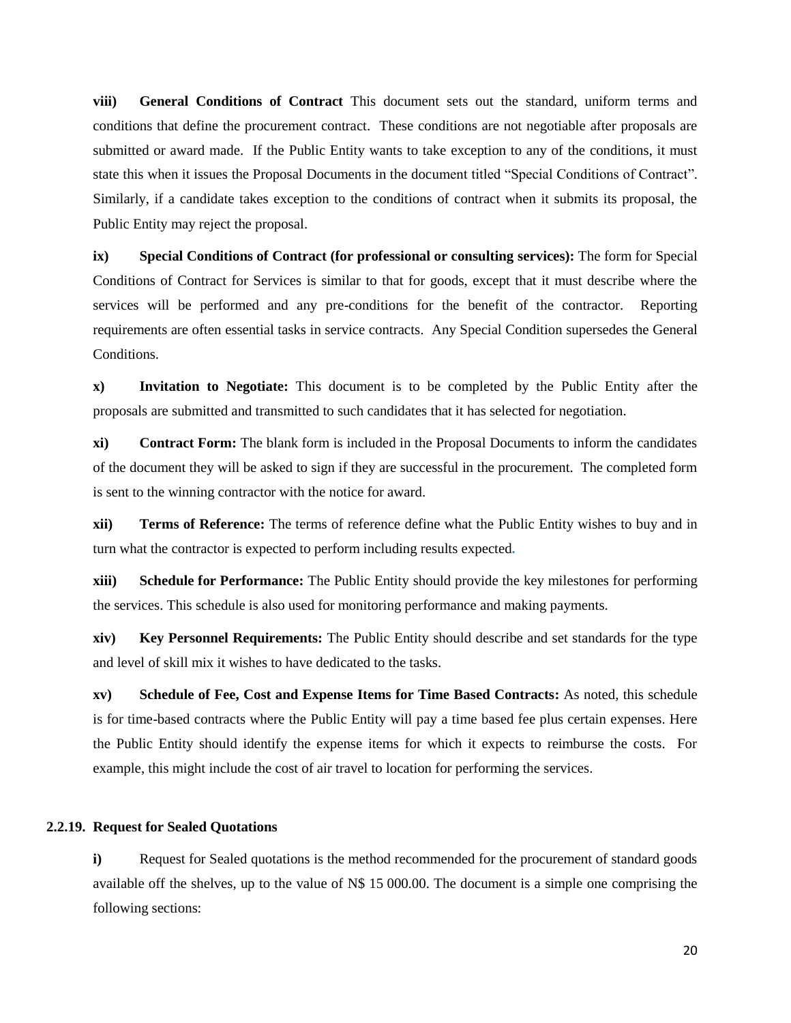**viii) General Conditions of Contract** This document sets out the standard, uniform terms and conditions that define the procurement contract. These conditions are not negotiable after proposals are submitted or award made. If the Public Entity wants to take exception to any of the conditions, it must state this when it issues the Proposal Documents in the document titled "Special Conditions of Contract". Similarly, if a candidate takes exception to the conditions of contract when it submits its proposal, the Public Entity may reject the proposal.

**ix) Special Conditions of Contract (for professional or consulting services):** The form for Special Conditions of Contract for Services is similar to that for goods, except that it must describe where the services will be performed and any pre-conditions for the benefit of the contractor. Reporting requirements are often essential tasks in service contracts. Any Special Condition supersedes the General Conditions.

**x) Invitation to Negotiate:** This document is to be completed by the Public Entity after the proposals are submitted and transmitted to such candidates that it has selected for negotiation.

**xi) Contract Form:** The blank form is included in the Proposal Documents to inform the candidates of the document they will be asked to sign if they are successful in the procurement. The completed form is sent to the winning contractor with the notice for award.

**xii) Terms of Reference:** The terms of reference define what the Public Entity wishes to buy and in turn what the contractor is expected to perform including results expected*.*

**xiii) Schedule for Performance:** The Public Entity should provide the key milestones for performing the services. This schedule is also used for monitoring performance and making payments.

**xiv) Key Personnel Requirements:** The Public Entity should describe and set standards for the type and level of skill mix it wishes to have dedicated to the tasks.

**xv) Schedule of Fee, Cost and Expense Items for Time Based Contracts:** As noted, this schedule is for time-based contracts where the Public Entity will pay a time based fee plus certain expenses. Here the Public Entity should identify the expense items for which it expects to reimburse the costs. For example, this might include the cost of air travel to location for performing the services.

#### **2.2.19. Request for Sealed Quotations**

<span id="page-20-0"></span>**i)** Request for Sealed quotations is the method recommended for the procurement of standard goods available off the shelves, up to the value of N\$ 15 000.00. The document is a simple one comprising the following sections: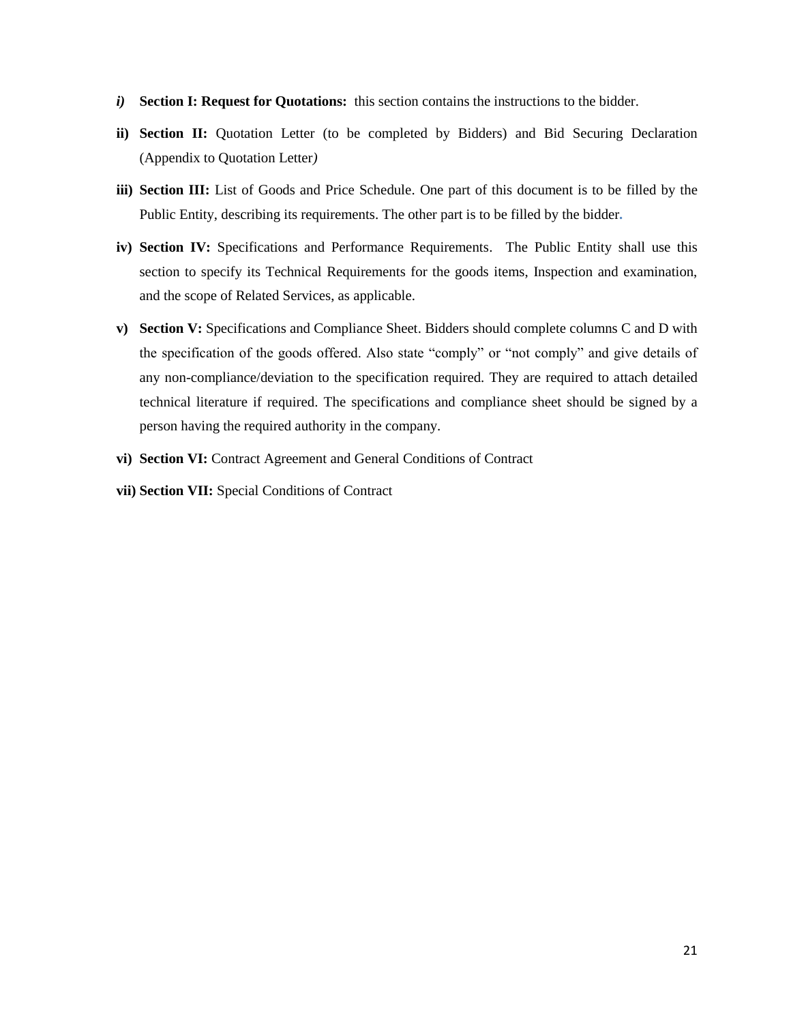- *i)* **Section I: Request for Quotations:** this section contains the instructions to the bidder.
- **ii) Section II:** Quotation Letter (to be completed by Bidders) and Bid Securing Declaration (Appendix to Quotation Letter*)*
- **iii) Section III:** List of Goods and Price Schedule. One part of this document is to be filled by the Public Entity, describing its requirements. The other part is to be filled by the bidder*.*
- **iv) Section IV:** Specifications and Performance Requirements. The Public Entity shall use this section to specify its Technical Requirements for the goods items, Inspection and examination, and the scope of Related Services, as applicable.
- **v) Section V:** Specifications and Compliance Sheet. Bidders should complete columns C and D with the specification of the goods offered. Also state "comply" or "not comply" and give details of any non-compliance/deviation to the specification required. They are required to attach detailed technical literature if required. The specifications and compliance sheet should be signed by a person having the required authority in the company.
- **vi) Section VI:** Contract Agreement and General Conditions of Contract
- **vii) Section VII:** Special Conditions of Contract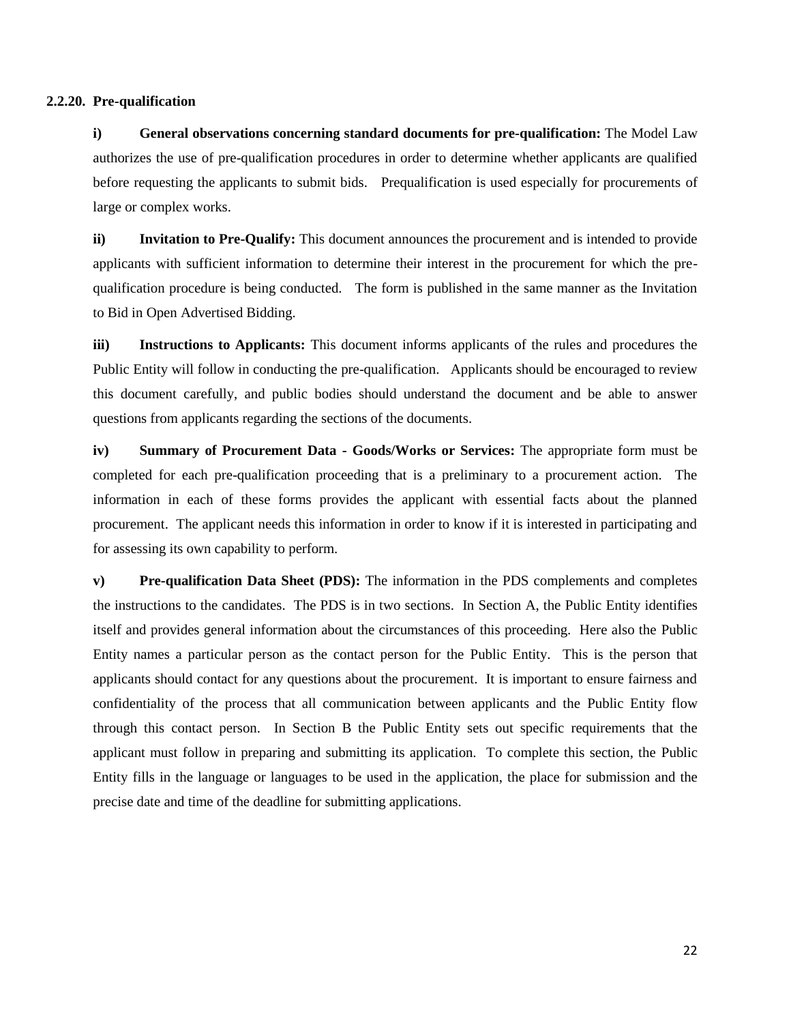#### **2.2.20. Pre-qualification**

<span id="page-22-0"></span>**i) General observations concerning standard documents for pre-qualification:** The Model Law authorizes the use of pre-qualification procedures in order to determine whether applicants are qualified before requesting the applicants to submit bids. Prequalification is used especially for procurements of large or complex works.

**ii) Invitation to Pre-Qualify:** This document announces the procurement and is intended to provide applicants with sufficient information to determine their interest in the procurement for which the prequalification procedure is being conducted. The form is published in the same manner as the Invitation to Bid in Open Advertised Bidding.

**iii) Instructions to Applicants:** This document informs applicants of the rules and procedures the Public Entity will follow in conducting the pre-qualification. Applicants should be encouraged to review this document carefully, and public bodies should understand the document and be able to answer questions from applicants regarding the sections of the documents.

**iv) Summary of Procurement Data - Goods/Works or Services:** The appropriate form must be completed for each pre-qualification proceeding that is a preliminary to a procurement action. The information in each of these forms provides the applicant with essential facts about the planned procurement. The applicant needs this information in order to know if it is interested in participating and for assessing its own capability to perform.

**v) Pre-qualification Data Sheet (PDS):** The information in the PDS complements and completes the instructions to the candidates. The PDS is in two sections. In Section A, the Public Entity identifies itself and provides general information about the circumstances of this proceeding. Here also the Public Entity names a particular person as the contact person for the Public Entity. This is the person that applicants should contact for any questions about the procurement. It is important to ensure fairness and confidentiality of the process that all communication between applicants and the Public Entity flow through this contact person. In Section B the Public Entity sets out specific requirements that the applicant must follow in preparing and submitting its application. To complete this section, the Public Entity fills in the language or languages to be used in the application, the place for submission and the precise date and time of the deadline for submitting applications.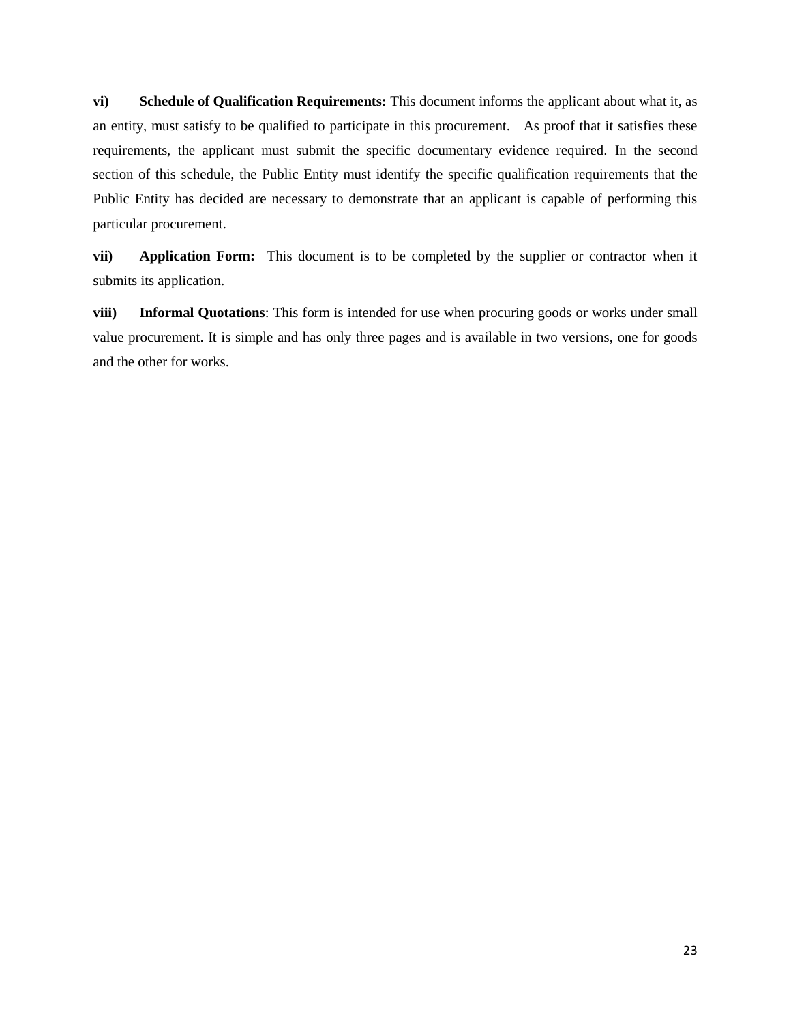**vi) Schedule of Qualification Requirements:** This document informs the applicant about what it, as an entity, must satisfy to be qualified to participate in this procurement. As proof that it satisfies these requirements, the applicant must submit the specific documentary evidence required. In the second section of this schedule, the Public Entity must identify the specific qualification requirements that the Public Entity has decided are necessary to demonstrate that an applicant is capable of performing this particular procurement.

**vii) Application Form:** This document is to be completed by the supplier or contractor when it submits its application.

**viii) Informal Quotations**: This form is intended for use when procuring goods or works under small value procurement. It is simple and has only three pages and is available in two versions, one for goods and the other for works.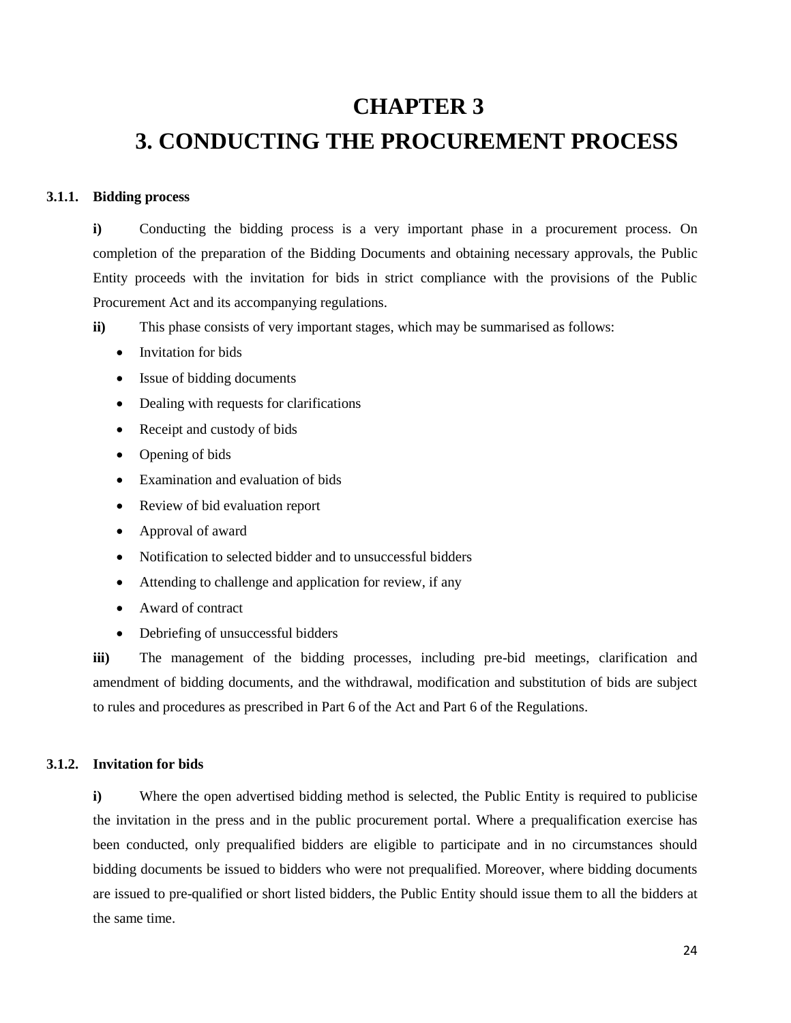### **CHAPTER 3**

## <span id="page-24-1"></span><span id="page-24-0"></span>**3. CONDUCTING THE PROCUREMENT PROCESS**

#### **3.1.1. Bidding process**

<span id="page-24-2"></span>**i)** Conducting the bidding process is a very important phase in a procurement process. On completion of the preparation of the Bidding Documents and obtaining necessary approvals, the Public Entity proceeds with the invitation for bids in strict compliance with the provisions of the Public Procurement Act and its accompanying regulations.

**ii**) This phase consists of very important stages, which may be summarised as follows:

- Invitation for bids
- Issue of bidding documents
- Dealing with requests for clarifications
- Receipt and custody of bids
- Opening of bids
- Examination and evaluation of bids
- Review of bid evaluation report
- Approval of award
- Notification to selected bidder and to unsuccessful bidders
- Attending to challenge and application for review, if any
- Award of contract
- Debriefing of unsuccessful bidders

**iii)** The management of the bidding processes, including pre-bid meetings, clarification and amendment of bidding documents, and the withdrawal, modification and substitution of bids are subject to rules and procedures as prescribed in Part 6 of the Act and Part 6 of the Regulations.

#### **3.1.2. Invitation for bids**

<span id="page-24-3"></span>**i**) Where the open advertised bidding method is selected, the Public Entity is required to publicise the invitation in the press and in the public procurement portal. Where a prequalification exercise has been conducted, only prequalified bidders are eligible to participate and in no circumstances should bidding documents be issued to bidders who were not prequalified. Moreover, where bidding documents are issued to pre-qualified or short listed bidders, the Public Entity should issue them to all the bidders at the same time.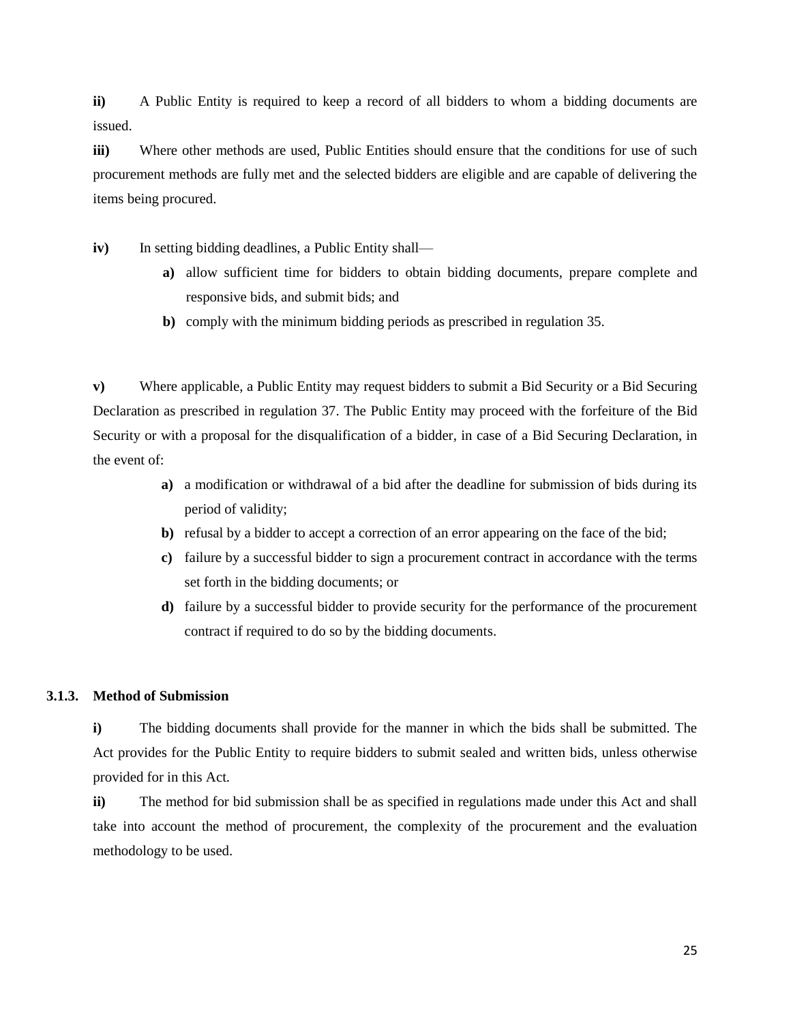**ii)** A Public Entity is required to keep a record of all bidders to whom a bidding documents are issued.

**iii)** Where other methods are used, Public Entities should ensure that the conditions for use of such procurement methods are fully met and the selected bidders are eligible and are capable of delivering the items being procured.

**iv**) In setting bidding deadlines, a Public Entity shall—

- **a)** allow sufficient time for bidders to obtain bidding documents, prepare complete and responsive bids, and submit bids; and
- **b)** comply with the minimum bidding periods as prescribed in regulation 35.

**v)** Where applicable, a Public Entity may request bidders to submit a Bid Security or a Bid Securing Declaration as prescribed in regulation 37. The Public Entity may proceed with the forfeiture of the Bid Security or with a proposal for the disqualification of a bidder, in case of a Bid Securing Declaration, in the event of:

- **a)** a modification or withdrawal of a bid after the deadline for submission of bids during its period of validity;
- **b**) refusal by a bidder to accept a correction of an error appearing on the face of the bid;
- **c)** failure by a successful bidder to sign a procurement contract in accordance with the terms set forth in the bidding documents; or
- **d)** failure by a successful bidder to provide security for the performance of the procurement contract if required to do so by the bidding documents.

#### **3.1.3. Method of Submission**

<span id="page-25-0"></span>**i)** The bidding documents shall provide for the manner in which the bids shall be submitted. The Act provides for the Public Entity to require bidders to submit sealed and written bids, unless otherwise provided for in this Act.

**ii)** The method for bid submission shall be as specified in regulations made under this Act and shall take into account the method of procurement, the complexity of the procurement and the evaluation methodology to be used.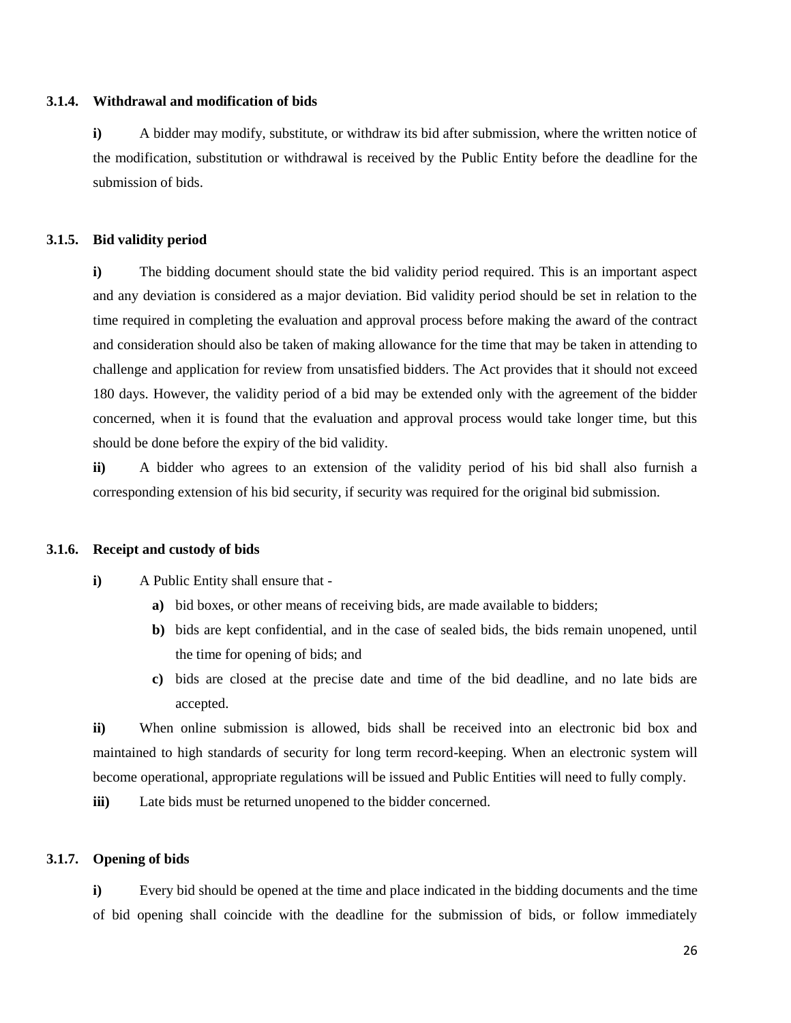#### **3.1.4. Withdrawal and modification of bids**

<span id="page-26-0"></span>**i)** A bidder may modify, substitute, or withdraw its bid after submission, where the written notice of the modification, substitution or withdrawal is received by the Public Entity before the deadline for the submission of bids.

#### **3.1.5. Bid validity period**

<span id="page-26-1"></span>**i)** The bidding document should state the bid validity period required. This is an important aspect and any deviation is considered as a major deviation. Bid validity period should be set in relation to the time required in completing the evaluation and approval process before making the award of the contract and consideration should also be taken of making allowance for the time that may be taken in attending to challenge and application for review from unsatisfied bidders. The Act provides that it should not exceed 180 days. However, the validity period of a bid may be extended only with the agreement of the bidder concerned, when it is found that the evaluation and approval process would take longer time, but this should be done before the expiry of the bid validity.

**ii)** A bidder who agrees to an extension of the validity period of his bid shall also furnish a corresponding extension of his bid security, if security was required for the original bid submission.

#### **3.1.6. Receipt and custody of bids**

- <span id="page-26-2"></span>**i)** A Public Entity shall ensure that
	- **a)** bid boxes, or other means of receiving bids, are made available to bidders;
	- **b)** bids are kept confidential, and in the case of sealed bids, the bids remain unopened, until the time for opening of bids; and
	- **c)** bids are closed at the precise date and time of the bid deadline, and no late bids are accepted.

**ii)** When online submission is allowed, bids shall be received into an electronic bid box and maintained to high standards of security for long term record-keeping. When an electronic system will become operational, appropriate regulations will be issued and Public Entities will need to fully comply.

**iii**) Late bids must be returned unopened to the bidder concerned.

#### **3.1.7. Opening of bids**

<span id="page-26-3"></span>**i)** Every bid should be opened at the time and place indicated in the bidding documents and the time of bid opening shall coincide with the deadline for the submission of bids, or follow immediately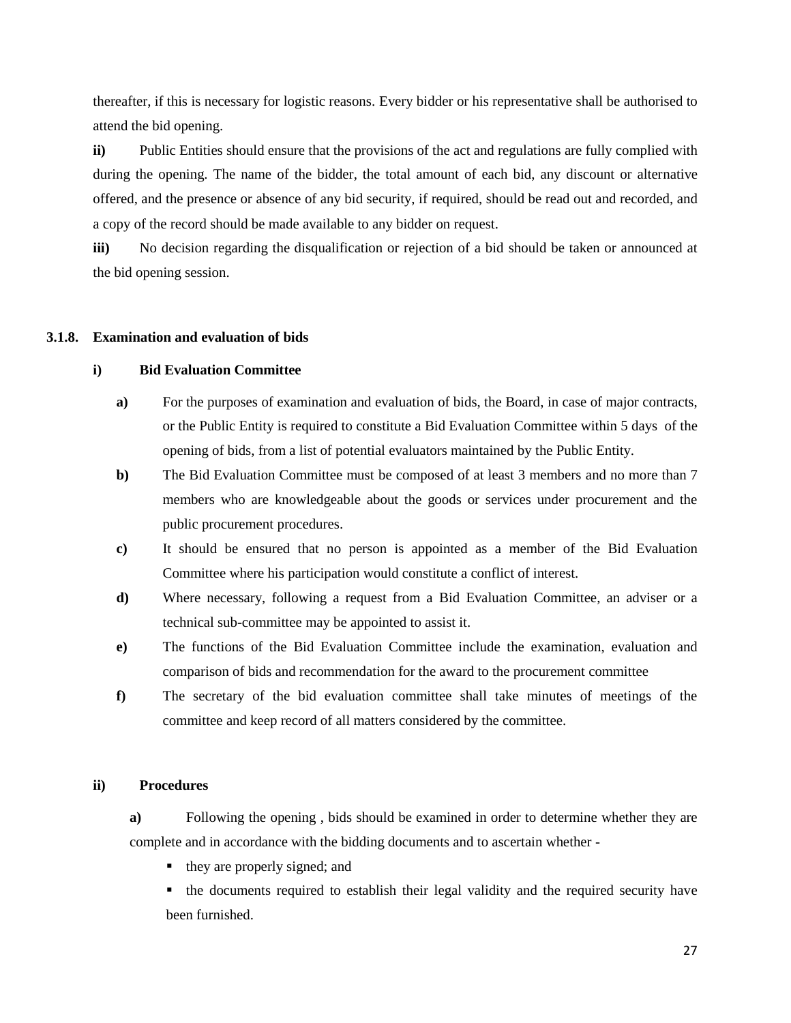thereafter, if this is necessary for logistic reasons. Every bidder or his representative shall be authorised to attend the bid opening.

**ii)** Public Entities should ensure that the provisions of the act and regulations are fully complied with during the opening. The name of the bidder, the total amount of each bid, any discount or alternative offered, and the presence or absence of any bid security, if required, should be read out and recorded, and a copy of the record should be made available to any bidder on request.

**iii)** No decision regarding the disqualification or rejection of a bid should be taken or announced at the bid opening session.

#### **3.1.8. Examination and evaluation of bids**

#### <span id="page-27-1"></span><span id="page-27-0"></span>**i) Bid Evaluation Committee**

- **a**) For the purposes of examination and evaluation of bids, the Board, in case of major contracts, or the Public Entity is required to constitute a Bid Evaluation Committee within 5 days of the opening of bids, from a list of potential evaluators maintained by the Public Entity.
- **b**) The Bid Evaluation Committee must be composed of at least 3 members and no more than 7 members who are knowledgeable about the goods or services under procurement and the public procurement procedures.
- **c)** It should be ensured that no person is appointed as a member of the Bid Evaluation Committee where his participation would constitute a conflict of interest.
- **d)** Where necessary, following a request from a Bid Evaluation Committee, an adviser or a technical sub-committee may be appointed to assist it.
- **e)** The functions of the Bid Evaluation Committee include the examination, evaluation and comparison of bids and recommendation for the award to the procurement committee
- **f)** The secretary of the bid evaluation committee shall take minutes of meetings of the committee and keep record of all matters considered by the committee.

#### <span id="page-27-2"></span>**ii) Procedures**

**a)** Following the opening , bids should be examined in order to determine whether they are complete and in accordance with the bidding documents and to ascertain whether -

they are properly signed; and

 the documents required to establish their legal validity and the required security have been furnished.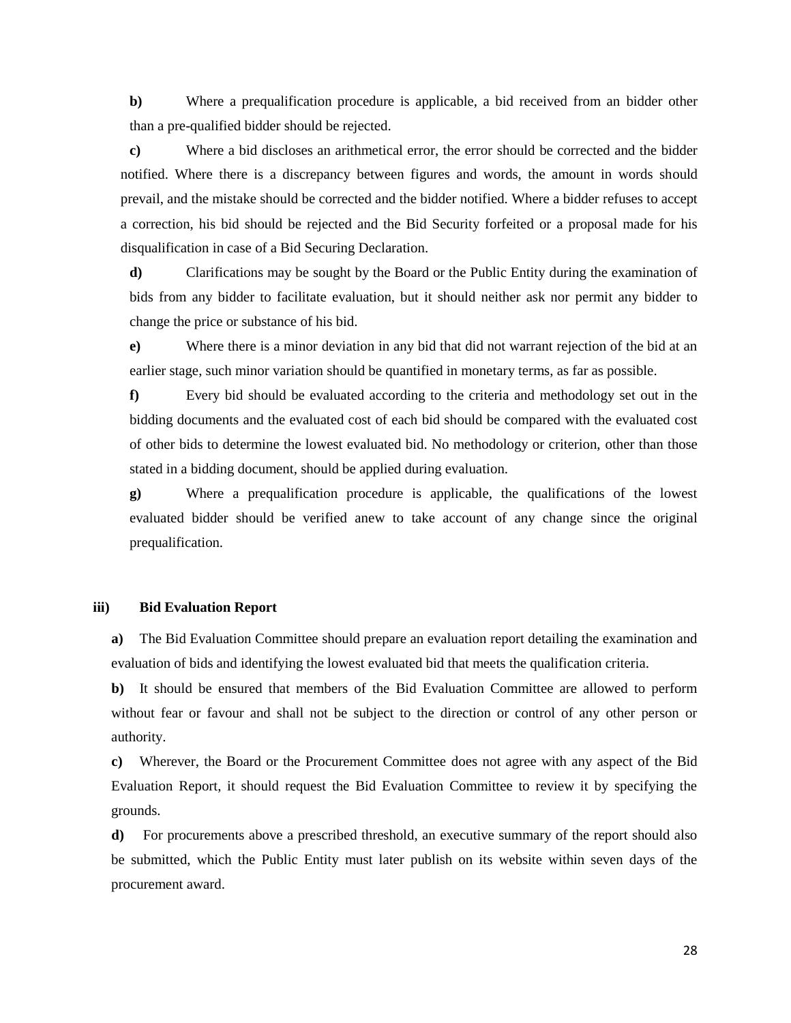**b)** Where a prequalification procedure is applicable, a bid received from an bidder other than a pre-qualified bidder should be rejected.

**c)** Where a bid discloses an arithmetical error, the error should be corrected and the bidder notified. Where there is a discrepancy between figures and words, the amount in words should prevail, and the mistake should be corrected and the bidder notified. Where a bidder refuses to accept a correction, his bid should be rejected and the Bid Security forfeited or a proposal made for his disqualification in case of a Bid Securing Declaration.

**d)** Clarifications may be sought by the Board or the Public Entity during the examination of bids from any bidder to facilitate evaluation, but it should neither ask nor permit any bidder to change the price or substance of his bid.

**e)** Where there is a minor deviation in any bid that did not warrant rejection of the bid at an earlier stage, such minor variation should be quantified in monetary terms, as far as possible.

**f)** Every bid should be evaluated according to the criteria and methodology set out in the bidding documents and the evaluated cost of each bid should be compared with the evaluated cost of other bids to determine the lowest evaluated bid. No methodology or criterion, other than those stated in a bidding document, should be applied during evaluation.

**g)** Where a prequalification procedure is applicable, the qualifications of the lowest evaluated bidder should be verified anew to take account of any change since the original prequalification.

#### <span id="page-28-0"></span>**iii) Bid Evaluation Report**

**a)** The Bid Evaluation Committee should prepare an evaluation report detailing the examination and evaluation of bids and identifying the lowest evaluated bid that meets the qualification criteria.

**b)** It should be ensured that members of the Bid Evaluation Committee are allowed to perform without fear or favour and shall not be subject to the direction or control of any other person or authority.

**c)** Wherever, the Board or the Procurement Committee does not agree with any aspect of the Bid Evaluation Report, it should request the Bid Evaluation Committee to review it by specifying the grounds.

**d)** For procurements above a prescribed threshold, an executive summary of the report should also be submitted, which the Public Entity must later publish on its website within seven days of the procurement award.

28